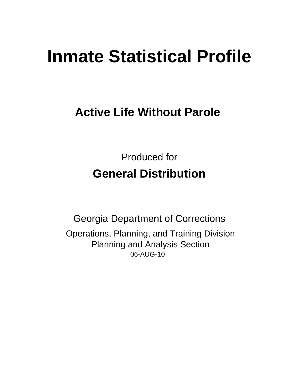# **Inmate Statistical Profile**

# **Active Life Without Parole**

**Produced for General Distribution** 

**Georgia Department of Corrections** Operations, Planning, and Training Division **Planning and Analysis Section** 06-AUG-10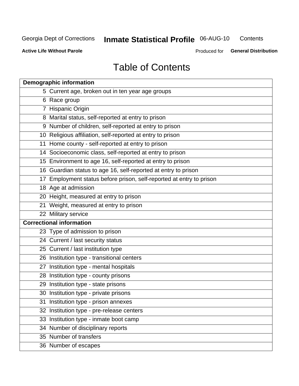# **Inmate Statistical Profile 06-AUG-10**

Contents

**Active Life Without Parole** 

Produced for General Distribution

# **Table of Contents**

| <b>Demographic information</b>                                       |
|----------------------------------------------------------------------|
| 5 Current age, broken out in ten year age groups                     |
| 6 Race group                                                         |
| 7 Hispanic Origin                                                    |
| 8 Marital status, self-reported at entry to prison                   |
| 9 Number of children, self-reported at entry to prison               |
| 10 Religious affiliation, self-reported at entry to prison           |
| 11 Home county - self-reported at entry to prison                    |
| 14 Socioeconomic class, self-reported at entry to prison             |
| 15 Environment to age 16, self-reported at entry to prison           |
| 16 Guardian status to age 16, self-reported at entry to prison       |
| 17 Employment status before prison, self-reported at entry to prison |
| 18 Age at admission                                                  |
| 20 Height, measured at entry to prison                               |
| 21 Weight, measured at entry to prison                               |
| 22 Military service                                                  |
| <b>Correctional information</b>                                      |
| 23 Type of admission to prison                                       |
| 24 Current / last security status                                    |
| 25 Current / last institution type                                   |
| 26 Institution type - transitional centers                           |
| 27 Institution type - mental hospitals                               |
| 28 Institution type - county prisons                                 |
| 29 Institution type - state prisons                                  |
| 30 Institution type - private prisons                                |
| 31 Institution type - prison annexes                                 |
| 32 Institution type - pre-release centers                            |
| 33 Institution type - inmate boot camp                               |
| 34 Number of disciplinary reports                                    |
| 35 Number of transfers                                               |
| 36 Number of escapes                                                 |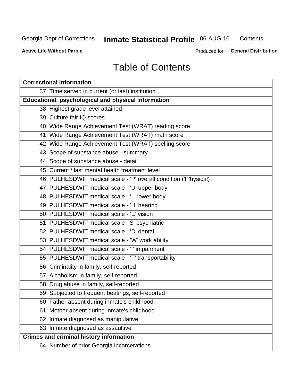# **Inmate Statistical Profile 06-AUG-10**

Contents

**Active Life Without Parole** 

Produced for General Distribution

# **Table of Contents**

| <b>Correctional information</b>                                  |  |  |  |  |  |  |  |
|------------------------------------------------------------------|--|--|--|--|--|--|--|
| 37 Time served in current (or last) institution                  |  |  |  |  |  |  |  |
| <b>Educational, psychological and physical information</b>       |  |  |  |  |  |  |  |
| 38 Highest grade level attained                                  |  |  |  |  |  |  |  |
| 39 Culture fair IQ scores                                        |  |  |  |  |  |  |  |
| 40 Wide Range Achievement Test (WRAT) reading score              |  |  |  |  |  |  |  |
| 41 Wide Range Achievement Test (WRAT) math score                 |  |  |  |  |  |  |  |
| 42 Wide Range Achievement Test (WRAT) spelling score             |  |  |  |  |  |  |  |
| 43 Scope of substance abuse - summary                            |  |  |  |  |  |  |  |
| 44 Scope of substance abuse - detail                             |  |  |  |  |  |  |  |
| 45 Current / last mental health treatment level                  |  |  |  |  |  |  |  |
| 46 PULHESDWIT medical scale - 'P' overall condition ('P'hysical) |  |  |  |  |  |  |  |
| 47 PULHESDWIT medical scale - 'U' upper body                     |  |  |  |  |  |  |  |
| 48 PULHESDWIT medical scale - 'L' lower body                     |  |  |  |  |  |  |  |
| 49 PULHESDWIT medical scale - 'H' hearing                        |  |  |  |  |  |  |  |
| 50 PULHESDWIT medical scale - 'E' vision                         |  |  |  |  |  |  |  |
| 51 PULHESDWIT medical scale -'S' psychiatric                     |  |  |  |  |  |  |  |
| 52 PULHESDWIT medical scale - 'D' dental                         |  |  |  |  |  |  |  |
| 53 PULHESDWIT medical scale - 'W' work ability                   |  |  |  |  |  |  |  |
| 54 PULHESDWIT medical scale - 'I' impairment                     |  |  |  |  |  |  |  |
| 55 PULHESDWIT medical scale - 'T' transportability               |  |  |  |  |  |  |  |
| 56 Criminality in family, self-reported                          |  |  |  |  |  |  |  |
| 57 Alcoholism in family, self-reported                           |  |  |  |  |  |  |  |
| 58 Drug abuse in family, self-reported                           |  |  |  |  |  |  |  |
| 59 Subjected to frequent beatings, self-reported                 |  |  |  |  |  |  |  |
| 60 Father absent during inmate's childhood                       |  |  |  |  |  |  |  |
| Mother absent during inmate's childhood<br>61                    |  |  |  |  |  |  |  |
| 62 Inmate diagnosed as manipulative                              |  |  |  |  |  |  |  |
| 63 Inmate diagnosed as assaultive                                |  |  |  |  |  |  |  |
| <b>Crimes and criminal history information</b>                   |  |  |  |  |  |  |  |
| 64 Number of prior Georgia incarcerations                        |  |  |  |  |  |  |  |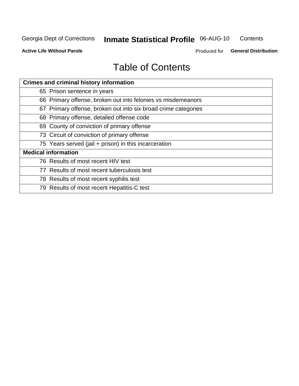#### **Inmate Statistical Profile 06-AUG-10** Contents

**Active Life Without Parole** 

Produced for General Distribution

# **Table of Contents**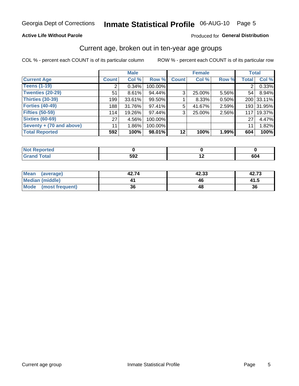### Inmate Statistical Profile 06-AUG-10 Page 5

#### **Active Life Without Parole**

#### Produced for General Distribution

### Current age, broken out in ten-year age groups

COL % - percent each COUNT is of its particular column

|                          |              | <b>Male</b> |         |                | <b>Female</b> |       | <b>Total</b>   |            |
|--------------------------|--------------|-------------|---------|----------------|---------------|-------|----------------|------------|
| <b>Current Age</b>       | <b>Count</b> | Col %       | Row %   | <b>Count</b>   | Col %         | Row % | <b>Total</b>   | Col %      |
| <b>Teens (1-19)</b>      | 2            | $0.34\%$    | 100.00% |                |               |       | $\overline{2}$ | 0.33%      |
| <b>Twenties (20-29)</b>  | 51           | 8.61%       | 94.44%  | 3 <sub>1</sub> | 25.00%        | 5.56% | 54             | 8.94%      |
| Thirties (30-39)         | 199          | $33.61\%$   | 99.50%  |                | 8.33%         | 0.50% |                | 200 33.11% |
| <b>Forties (40-49)</b>   | 188          | $31.76\%$   | 97.41%  | 5              | 41.67%        | 2.59% |                | 193 31.95% |
| <b>Fifties (50-59)</b>   | 114          | 19.26%      | 97.44%  | 3 <sub>1</sub> | 25.00%        | 2.56% | 117            | 19.37%     |
| <b>Sixties (60-69)</b>   | 27           | 4.56%       | 100.00% |                |               |       | 27             | 4.47%      |
| Seventy + (70 and above) | 11           | $1.86\%$    | 100.00% |                |               |       | 11             | 1.82%      |
| <b>Total Reported</b>    | 592          | 100%        | 98.01%  | 12             | 100%          | 1.99% | 604            | 100%       |

| _____ | <b>EOQ</b><br>JJL | $\overline{\phantom{0}}$ | co.<br>UU- |
|-------|-------------------|--------------------------|------------|

| Mean<br>(average)       | 42.74 | 42.33 | 42.73 |
|-------------------------|-------|-------|-------|
| <b>Median (middle)</b>  |       |       | 41.5  |
| Mode<br>(most frequent) | 36    |       | 36    |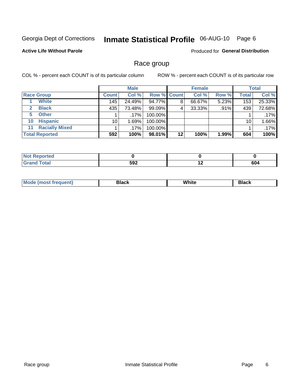# Inmate Statistical Profile 06-AUG-10 Page 6

#### **Active Life Without Parole**

Produced for General Distribution

### Race group

COL % - percent each COUNT is of its particular column

|                             | <b>Male</b>  |         |                    | <b>Female</b> |        |       | <b>Total</b> |        |
|-----------------------------|--------------|---------|--------------------|---------------|--------|-------|--------------|--------|
| <b>Race Group</b>           | <b>Count</b> | Col %   | <b>Row % Count</b> |               | Col %  | Row % | <b>Total</b> | Col %  |
| <b>White</b>                | 145          | 24.49%  | 94.77%             | 8             | 66.67% | 5.23% | 153          | 25.33% |
| <b>Black</b>                | 435          | 73.48%  | 99.09%             | 4             | 33.33% | .91%  | 439          | 72.68% |
| <b>Other</b><br>5           |              | $.17\%$ | 100.00%            |               |        |       |              | .17%   |
| <b>Hispanic</b><br>10       | 10           | 1.69%   | 100.00%            |               |        |       | 10           | 1.66%  |
| <b>Racially Mixed</b><br>11 |              | $.17\%$ | 100.00%            |               |        |       |              | .17%   |
| <b>Total Reported</b>       | 592          | 100%    | 98.01%             | $12 \,$       | 100%   | 1.99% | 604          | 100%   |

| Reported     |     |     |     |
|--------------|-----|-----|-----|
| <b>Total</b> | 592 | . . | 604 |

| M | . | <b>PIUVIV</b> |
|---|---|---------------|
|   |   |               |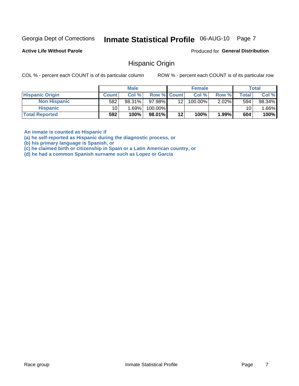#### Inmate Statistical Profile 06-AUG-10 Page 7

**Active Life Without Parole** 

Produced for General Distribution

### **Hispanic Origin**

COL % - percent each COUNT is of its particular column

ROW % - percent each COUNT is of its particular row

|                        |              | <b>Male</b> |                    |                 | <b>Female</b> |          |       | <b>Total</b> |
|------------------------|--------------|-------------|--------------------|-----------------|---------------|----------|-------|--------------|
| <b>Hispanic Origin</b> | <b>Count</b> | Col %       | <b>Row % Count</b> |                 | Col %         | Row %    | Total | Col %        |
| <b>Non Hispanic</b>    | 582          | 98.31%      | 97.98%             | 12 <sub>1</sub> | 100.00%       | $2.02\%$ | 594   | 98.34%       |
| <b>Hispanic</b>        | 10           | 1.69%       | 100.00%            |                 |               |          | 10    | .66%         |
| <b>Total Reported</b>  | 592          | 100%        | 98.01%             | 12              | 100%          | $1.99\%$ | 604   | 100%         |

An inmate is counted as Hispanic if

(a) he self-reported as Hispanic during the diagnostic process, or

(b) his primary language is Spanish, or

(c) he claimed birth or citizenship in Spain or a Latin American country, or

(d) he had a common Spanish surname such as Lopez or Garcia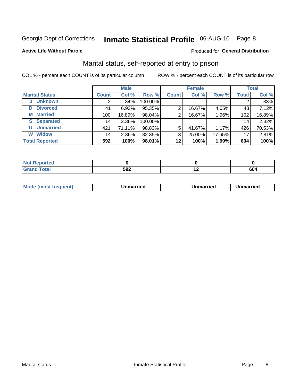# Inmate Statistical Profile 06-AUG-10 Page 8

#### **Active Life Without Parole**

#### Produced for General Distribution

### Marital status, self-reported at entry to prison

COL % - percent each COUNT is of its particular column

|                            | <b>Male</b>  |        |         | <b>Female</b> |        |        | <b>Total</b> |        |
|----------------------------|--------------|--------|---------|---------------|--------|--------|--------------|--------|
| <b>Marital Status</b>      | <b>Count</b> | Col %  | Row %   | <b>Count</b>  | Col %  | Row %  | <b>Total</b> | Col %  |
| <b>Unknown</b><br>$\bf{0}$ | 2            | .34%   | 100.00% |               |        |        | 2            | .33%   |
| <b>Divorced</b><br>D       | 41           | 6.93%  | 95.35%  | 2             | 16.67% | 4.65%  | 43           | 7.12%  |
| <b>Married</b><br>М        | 100          | 16.89% | 98.04%  | 2             | 16.67% | 1.96%  | 102          | 16.89% |
| <b>Separated</b><br>S      | 14           | 2.36%  | 100.00% |               |        |        | 14           | 2.32%  |
| <b>Unmarried</b><br>U      | 421          | 71.11% | 98.83%  | 5             | 41.67% | 1.17%  | 426          | 70.53% |
| <b>Widow</b><br>W          | 14           | 2.36%  | 82.35%  | 3             | 25.00% | 17.65% | 17           | 2.81%  |
| <b>Total Reported</b>      | 592          | 100%   | 98.01%  | 12            | 100%   | 1.99%  | 604          | 100%   |

| m.<br><b>Tea</b> |     |     |        |
|------------------|-----|-----|--------|
|                  | 592 | . . | <br>οu |

|--|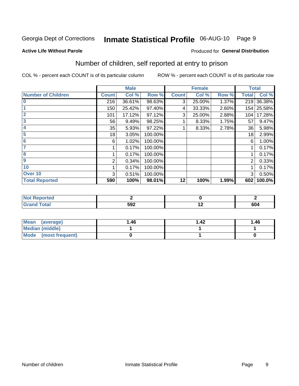# Inmate Statistical Profile 06-AUG-10 Page 9

**Produced for General Distribution** 

#### **Active Life Without Parole**

### Number of children, self reported at entry to prison

COL % - percent each COUNT is of its particular column

|                           |              | <b>Male</b> |         |              | <b>Female</b> |       | <b>Total</b> |            |
|---------------------------|--------------|-------------|---------|--------------|---------------|-------|--------------|------------|
| <b>Number of Children</b> | <b>Count</b> | Col %       | Row %   | <b>Count</b> | Col %         | Row % | <b>Total</b> | Col %      |
| $\bf{0}$                  | 216          | 36.61%      | 98.63%  | 3            | 25.00%        | 1.37% | 219          | 36.38%     |
|                           | 150          | 25.42%      | 97.40%  | 4            | 33.33%        | 2.60% |              | 154 25.58% |
| $\overline{2}$            | 101          | 17.12%      | 97.12%  | 3            | 25.00%        | 2.88% | 104          | 17.28%     |
| 3                         | 56           | 9.49%       | 98.25%  |              | 8.33%         | 1.75% | 57           | 9.47%      |
| 4                         | 35           | 5.93%       | 97.22%  |              | 8.33%         | 2.78% | 36           | 5.98%      |
| 5                         | 18           | 3.05%       | 100.00% |              |               |       | 18           | 2.99%      |
| 6                         | 6            | 1.02%       | 100.00% |              |               |       | 6            | 1.00%      |
| 7                         |              | 0.17%       | 100.00% |              |               |       |              | 0.17%      |
| 8                         |              | 0.17%       | 100.00% |              |               |       |              | 0.17%      |
| $\boldsymbol{9}$          | 2            | 0.34%       | 100.00% |              |               |       | 2            | 0.33%      |
| 10                        |              | 0.17%       | 100.00% |              |               |       |              | 0.17%      |
| Over 10                   | 3            | 0.51%       | 100.00% |              |               |       | 3            | 0.50%      |
| <b>Total Reported</b>     | 590          | 100%        | 98.01%  | 12           | 100%          | 1.99% | 602          | 100.0%     |

| meo    |     |     |
|--------|-----|-----|
| $\sim$ | 592 | 604 |

| <b>Mean</b><br>(average) | 1.46 | $\overline{.42}$ | 1.46 |
|--------------------------|------|------------------|------|
| <b>Median (middle)</b>   |      |                  |      |
| Mode (most frequent)     |      |                  |      |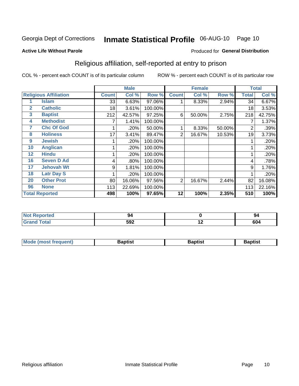# Inmate Statistical Profile 06-AUG-10 Page 10

#### **Active Life Without Parole**

#### Produced for General Distribution

### Religious affiliation, self-reported at entry to prison

COL % - percent each COUNT is of its particular column

|              |                              |              | <b>Male</b> |         |                | <b>Female</b> |        |       | <b>Total</b> |
|--------------|------------------------------|--------------|-------------|---------|----------------|---------------|--------|-------|--------------|
|              | <b>Religious Affiliation</b> | <b>Count</b> | Col %       | Row %   | <b>Count</b>   | Col %         | Row %  | Total | Col %        |
|              | Islam                        | 33           | 6.63%       | 97.06%  |                | 8.33%         | 2.94%  | 34    | 6.67%        |
| $\mathbf{2}$ | <b>Catholic</b>              | 18           | 3.61%       | 100.00% |                |               |        | 18    | 3.53%        |
| 3            | <b>Baptist</b>               | 212          | 42.57%      | 97.25%  | 6              | 50.00%        | 2.75%  | 218   | 42.75%       |
| 4            | <b>Methodist</b>             |              | 1.41%       | 100.00% |                |               |        |       | 1.37%        |
| 7            | <b>Chc Of God</b>            |              | .20%        | 50.00%  |                | 8.33%         | 50.00% | 2     | .39%         |
| 8            | <b>Holiness</b>              | 17           | 3.41%       | 89.47%  | $\overline{2}$ | 16.67%        | 10.53% | 19    | 3.73%        |
| 9            | <b>Jewish</b>                |              | .20%        | 100.00% |                |               |        |       | .20%         |
| 10           | <b>Anglican</b>              |              | .20%        | 100.00% |                |               |        |       | .20%         |
| 12           | <b>Hindu</b>                 |              | .20%        | 100.00% |                |               |        |       | .20%         |
| 16           | <b>Seven D Ad</b>            | 4            | .80%        | 100.00% |                |               |        | 4     | .78%         |
| 17           | <b>Jehovah Wt</b>            | 9            | 1.81%       | 100.00% |                |               |        | 9     | 1.76%        |
| 18           | <b>Latr Day S</b>            |              | .20%        | 100.00% |                |               |        |       | .20%         |
| 20           | <b>Other Prot</b>            | 80           | 16.06%      | 97.56%  | 2              | 16.67%        | 2.44%  | 82    | 16.08%       |
| 96           | <b>None</b>                  | 113          | 22.69%      | 100.00% |                |               |        | 113   | 22.16%       |
|              | <b>Total Reported</b>        | 498          | 100%        | 97.65%  | 12             | 100%          | 2.35%  | 510   | 100%         |

| rtea<br>.                   |     |        | 94  |
|-----------------------------|-----|--------|-----|
| $\sim$ $\sim$ $\sim$ $\sim$ | 592 | $\sim$ | 604 |

| Mode (most frequent) | Baptist | <b>Baptist</b> | aptıst |
|----------------------|---------|----------------|--------|
|                      |         |                |        |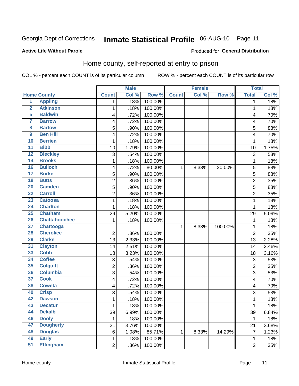# Inmate Statistical Profile 06-AUG-10 Page 11

Produced for General Distribution

#### **Active Life Without Parole**

### Home county, self-reported at entry to prison

COL % - percent each COUNT is of its particular column

|                         |                      |                | <b>Male</b> |         |              | <b>Female</b> |         | <b>Total</b>   |       |
|-------------------------|----------------------|----------------|-------------|---------|--------------|---------------|---------|----------------|-------|
|                         | <b>Home County</b>   | <b>Count</b>   | Col %       | Row %   | <b>Count</b> | Col %         | Row %   | <b>Total</b>   | Col%  |
| $\overline{1}$          | <b>Appling</b>       | 1              | .18%        | 100.00% |              |               |         | 1              | .18%  |
| $\overline{2}$          | <b>Atkinson</b>      | 1              | .18%        | 100.00% |              |               |         | 1              | .18%  |
| 5                       | <b>Baldwin</b>       | 4              | .72%        | 100.00% |              |               |         | $\overline{4}$ | .70%  |
| 7                       | <b>Barrow</b>        | 4              | .72%        | 100.00% |              |               |         | 4              | .70%  |
| $\overline{\mathbf{8}}$ | <b>Bartow</b>        | 5              | .90%        | 100.00% |              |               |         | 5              | .88%  |
| $\boldsymbol{9}$        | <b>Ben Hill</b>      | 4              | .72%        | 100.00% |              |               |         | 4              | .70%  |
| 10                      | <b>Berrien</b>       | 1              | .18%        | 100.00% |              |               |         | 1              | .18%  |
| 11                      | <b>Bibb</b>          | 10             | 1.79%       | 100.00% |              |               |         | 10             | 1.75% |
| $\overline{12}$         | <b>Bleckley</b>      | 3              | .54%        | 100.00% |              |               |         | 3              | .53%  |
| 14                      | <b>Brooks</b>        | 1              | .18%        | 100.00% |              |               |         | 1              | .18%  |
| 16                      | <b>Bulloch</b>       | 4              | .72%        | 80.00%  | 1            | 8.33%         | 20.00%  | 5              | .88%  |
| $\overline{17}$         | <b>Burke</b>         | 5              | .90%        | 100.00% |              |               |         | 5              | .88%  |
| $\overline{18}$         | <b>Butts</b>         | $\overline{c}$ | .36%        | 100.00% |              |               |         | $\overline{2}$ | .35%  |
| 20                      | <b>Camden</b>        | 5              | .90%        | 100.00% |              |               |         | 5              | .88%  |
| $\overline{22}$         | <b>Carroll</b>       | $\overline{2}$ | .36%        | 100.00% |              |               |         | $\overline{2}$ | .35%  |
| 23                      | <b>Catoosa</b>       | 1              | .18%        | 100.00% |              |               |         | 1              | .18%  |
| $\overline{24}$         | <b>Charlton</b>      | 1              | .18%        | 100.00% |              |               |         | 1              | .18%  |
| 25                      | <b>Chatham</b>       | 29             | 5.20%       | 100.00% |              |               |         | 29             | 5.09% |
| 26                      | <b>Chattahoochee</b> | 1              | .18%        | 100.00% |              |               |         | 1              | .18%  |
| 27                      | <b>Chattooga</b>     |                |             |         | 1            | 8.33%         | 100.00% | 1              | .18%  |
| 28                      | <b>Cherokee</b>      | $\overline{2}$ | .36%        | 100.00% |              |               |         | $\overline{2}$ | .35%  |
| 29                      | <b>Clarke</b>        | 13             | 2.33%       | 100.00% |              |               |         | 13             | 2.28% |
| $\overline{31}$         | <b>Clayton</b>       | 14             | 2.51%       | 100.00% |              |               |         | 14             | 2.46% |
| 33                      | <b>Cobb</b>          | 18             | 3.23%       | 100.00% |              |               |         | 18             | 3.16% |
| 34                      | <b>Coffee</b>        | 3              | .54%        | 100.00% |              |               |         | 3              | .53%  |
| 35                      | <b>Colquitt</b>      | 2              | .36%        | 100.00% |              |               |         | $\overline{2}$ | .35%  |
| 36                      | <b>Columbia</b>      | $\overline{3}$ | .54%        | 100.00% |              |               |         | $\overline{3}$ | .53%  |
| $\overline{37}$         | <b>Cook</b>          | 4              | .72%        | 100.00% |              |               |         | 4              | .70%  |
| 38                      | <b>Coweta</b>        | 4              | .72%        | 100.00% |              |               |         | 4              | .70%  |
| 40                      | <b>Crisp</b>         | 3              | .54%        | 100.00% |              |               |         | 3              | .53%  |
| 42                      | <b>Dawson</b>        | 1              | .18%        | 100.00% |              |               |         | 1              | .18%  |
| 43                      | <b>Decatur</b>       | 1              | .18%        | 100.00% |              |               |         | 1              | .18%  |
| 44                      | <b>Dekalb</b>        | 39             | 6.99%       | 100.00% |              |               |         | 39             | 6.84% |
| 46                      | <b>Dooly</b>         | 1              | .18%        | 100.00% |              |               |         | $\mathbf{1}$   | .18%  |
| 47                      | <b>Dougherty</b>     | 21             | 3.76%       | 100.00% |              |               |         | 21             | 3.68% |
| 48                      | <b>Douglas</b>       | 6              | 1.08%       | 85.71%  | 1            | 8.33%         | 14.29%  | $\overline{7}$ | 1.23% |
| 49                      | <b>Early</b>         | 1              | .18%        | 100.00% |              |               |         | 1              | .18%  |
| 51                      | <b>Effingham</b>     | $\overline{2}$ | .36%        | 100.00% |              |               |         | $\overline{2}$ | .35%  |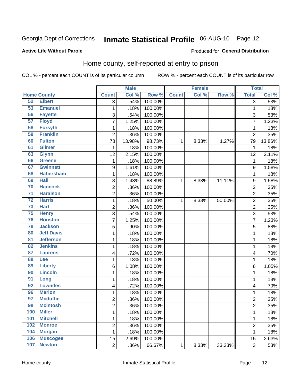# Inmate Statistical Profile 06-AUG-10 Page 12

#### **Active Life Without Parole**

#### Produced for General Distribution

### Home county, self-reported at entry to prison

COL % - percent each COUNT is of its particular column

|                 |                    |                  | <b>Male</b> |         |              | <b>Female</b> |        | <b>Total</b>            |        |
|-----------------|--------------------|------------------|-------------|---------|--------------|---------------|--------|-------------------------|--------|
|                 | <b>Home County</b> | <b>Count</b>     | Col %       | Row %   | <b>Count</b> | Col %         | Row %  | <b>Total</b>            | Col %  |
| 52              | <b>Elbert</b>      | 3                | .54%        | 100.00% |              |               |        | 3                       | .53%   |
| 53              | <b>Emanuel</b>     | 1                | .18%        | 100.00% |              |               |        | 1                       | .18%   |
| 56              | <b>Fayette</b>     | 3                | .54%        | 100.00% |              |               |        | 3                       | .53%   |
| 57              | <b>Floyd</b>       | $\overline{7}$   | 1.25%       | 100.00% |              |               |        | 7                       | 1.23%  |
| 58              | <b>Forsyth</b>     | $\mathbf 1$      | .18%        | 100.00% |              |               |        | 1                       | .18%   |
| 59              | <b>Franklin</b>    | $\overline{2}$   | .36%        | 100.00% |              |               |        | $\overline{2}$          | .35%   |
| 60              | <b>Fulton</b>      | 78               | 13.98%      | 98.73%  | 1            | 8.33%         | 1.27%  | 79                      | 13.86% |
| 61              | <b>Gilmer</b>      | 1                | .18%        | 100.00% |              |               |        | 1                       | .18%   |
| 63              | <b>Glynn</b>       | 12               | 2.15%       | 100.00% |              |               |        | 12                      | 2.11%  |
| 66              | <b>Greene</b>      | $\mathbf 1$      | .18%        | 100.00% |              |               |        | 1                       | .18%   |
| 67              | <b>Gwinnett</b>    | $\boldsymbol{9}$ | 1.61%       | 100.00% |              |               |        | 9                       | 1.58%  |
| 68              | <b>Habersham</b>   | $\mathbf 1$      | .18%        | 100.00% |              |               |        | 1                       | .18%   |
| 69              | <b>Hall</b>        | 8                | 1.43%       | 88.89%  | 1            | 8.33%         | 11.11% | 9                       | 1.58%  |
| 70              | <b>Hancock</b>     | $\overline{c}$   | .36%        | 100.00% |              |               |        | $\overline{c}$          | .35%   |
| $\overline{71}$ | <b>Haralson</b>    | $\overline{2}$   | .36%        | 100.00% |              |               |        | $\overline{2}$          | .35%   |
| $\overline{72}$ | <b>Harris</b>      | $\mathbf{1}$     | .18%        | 50.00%  | 1            | 8.33%         | 50.00% | $\overline{2}$          | .35%   |
| 73              | <b>Hart</b>        | $\overline{2}$   | .36%        | 100.00% |              |               |        | $\overline{2}$          | .35%   |
| 75              | <b>Henry</b>       | 3                | .54%        | 100.00% |              |               |        | 3                       | .53%   |
| 76              | <b>Houston</b>     | $\overline{7}$   | 1.25%       | 100.00% |              |               |        | 7                       | 1.23%  |
| 78              | <b>Jackson</b>     | 5                | .90%        | 100.00% |              |               |        | 5                       | .88%   |
| 80              | <b>Jeff Davis</b>  | $\mathbf 1$      | .18%        | 100.00% |              |               |        | 1                       | .18%   |
| $\overline{81}$ | <b>Jefferson</b>   | $\mathbf 1$      | .18%        | 100.00% |              |               |        | 1                       | .18%   |
| 82              | <b>Jenkins</b>     | $\mathbf 1$      | .18%        | 100.00% |              |               |        | 1                       | .18%   |
| 87              | <b>Laurens</b>     | 4                | .72%        | 100.00% |              |               |        | 4                       | .70%   |
| 88              | Lee                | $\mathbf 1$      | .18%        | 100.00% |              |               |        | 1                       | .18%   |
| 89              | <b>Liberty</b>     | 6                | 1.08%       | 100.00% |              |               |        | 6                       | 1.05%  |
| 90              | <b>Lincoln</b>     | $\mathbf 1$      | .18%        | 100.00% |              |               |        | 1                       | .18%   |
| 91              | Long               | $\mathbf{1}$     | .18%        | 100.00% |              |               |        | 1                       | .18%   |
| 92              | <b>Lowndes</b>     | 4                | .72%        | 100.00% |              |               |        | 4                       | .70%   |
| 96              | <b>Marion</b>      | $\mathbf 1$      | .18%        | 100.00% |              |               |        | 1                       | .18%   |
| 97              | <b>Mcduffie</b>    | $\overline{c}$   | .36%        | 100.00% |              |               |        | 2                       | .35%   |
| 98              | <b>Mcintosh</b>    | 2                | .36%        | 100.00% |              |               |        | $\overline{\mathbf{c}}$ | .35%   |
| 100             | <b>Miller</b>      | $\mathbf{1}$     | .18%        | 100.00% |              |               |        | 1                       | .18%   |
| 101             | <b>Mitchell</b>    | $\mathbf 1$      | .18%        | 100.00% |              |               |        | 1                       | .18%   |
| 102             | <b>Monroe</b>      | $\overline{c}$   | .36%        | 100.00% |              |               |        | 2                       | .35%   |
| 104             | <b>Morgan</b>      | 1                | .18%        | 100.00% |              |               |        | 1                       | .18%   |
| 106             | <b>Muscogee</b>    | 15               | 2.69%       | 100.00% |              |               |        | 15                      | 2.63%  |
| 107             | <b>Newton</b>      | $\overline{2}$   | .36%        | 66.67%  | $\mathbf 1$  | 8.33%         | 33.33% | 3                       | .53%   |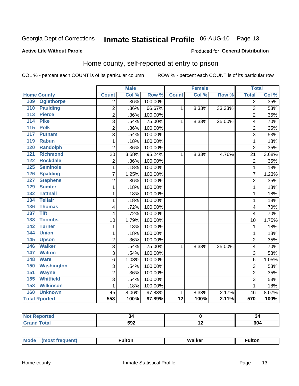# Inmate Statistical Profile 06-AUG-10 Page 13

#### **Active Life Without Parole**

#### **Produced for General Distribution**

### Home county, self-reported at entry to prison

COL % - percent each COUNT is of its particular column

|     |                      | <b>Male</b>    |       | <b>Female</b> |                 |       | <b>Total</b> |                |       |
|-----|----------------------|----------------|-------|---------------|-----------------|-------|--------------|----------------|-------|
|     | <b>Home County</b>   | <b>Count</b>   | Col % | Row %         | <b>Count</b>    | Col % | Row %        | <b>Total</b>   | Col % |
| 109 | <b>Oglethorpe</b>    | $\overline{2}$ | .36%  | 100.00%       |                 |       |              | $\overline{2}$ | .35%  |
| 110 | <b>Paulding</b>      | $\overline{2}$ | .36%  | 66.67%        | $\mathbf{1}$    | 8.33% | 33.33%       | 3              | .53%  |
| 113 | <b>Pierce</b>        | $\overline{2}$ | .36%  | 100.00%       |                 |       |              | $\overline{2}$ | .35%  |
| 114 | <b>Pike</b>          | 3              | .54%  | 75.00%        | $\mathbf{1}$    | 8.33% | 25.00%       | 4              | .70%  |
| 115 | <b>Polk</b>          | $\overline{2}$ | .36%  | 100.00%       |                 |       |              | $\overline{2}$ | .35%  |
| 117 | <b>Putnam</b>        | 3              | .54%  | 100.00%       |                 |       |              | 3              | .53%  |
| 119 | <b>Rabun</b>         | 1              | .18%  | 100.00%       |                 |       |              | 1              | .18%  |
| 120 | <b>Randolph</b>      | $\overline{2}$ | .36%  | 100.00%       |                 |       |              | $\overline{2}$ | .35%  |
| 121 | <b>Richmond</b>      | 20             | 3.58% | 95.24%        | $\mathbf{1}$    | 8.33% | 4.76%        | 21             | 3.68% |
| 122 | <b>Rockdale</b>      | $\overline{c}$ | .36%  | 100.00%       |                 |       |              | $\overline{2}$ | .35%  |
| 125 | <b>Seminole</b>      | 1              | .18%  | 100.00%       |                 |       |              | 1              | .18%  |
| 126 | <b>Spalding</b>      | 7              | 1.25% | 100.00%       |                 |       |              | 7              | 1.23% |
| 127 | <b>Stephens</b>      | $\overline{2}$ | .36%  | 100.00%       |                 |       |              | $\overline{2}$ | .35%  |
| 129 | <b>Sumter</b>        | 1              | .18%  | 100.00%       |                 |       |              | 1              | .18%  |
| 132 | <b>Tattnall</b>      | 1              | .18%  | 100.00%       |                 |       |              | 1              | .18%  |
| 134 | <b>Telfair</b>       | 1              | .18%  | 100.00%       |                 |       |              | 1              | .18%  |
| 136 | <b>Thomas</b>        | 4              | .72%  | 100.00%       |                 |       |              | $\overline{4}$ | .70%  |
| 137 | <b>Tift</b>          | 4              | .72%  | 100.00%       |                 |       |              | 4              | .70%  |
| 138 | <b>Toombs</b>        | 10             | 1.79% | 100.00%       |                 |       |              | 10             | 1.75% |
| 142 | <b>Turner</b>        | $\mathbf{1}$   | .18%  | 100.00%       |                 |       |              | 1              | .18%  |
| 144 | <b>Union</b>         | 1              | .18%  | 100.00%       |                 |       |              | 1              | .18%  |
| 145 | <b>Upson</b>         | $\overline{c}$ | .36%  | 100.00%       |                 |       |              | $\overline{2}$ | .35%  |
| 146 | <b>Walker</b>        | 3              | .54%  | 75.00%        | 1               | 8.33% | 25.00%       | $\overline{4}$ | .70%  |
| 147 | <b>Walton</b>        | 3              | .54%  | 100.00%       |                 |       |              | 3              | .53%  |
| 148 | <b>Ware</b>          | 6              | 1.08% | 100.00%       |                 |       |              | 6              | 1.05% |
| 150 | <b>Washington</b>    | 3              | .54%  | 100.00%       |                 |       |              | 3              | .53%  |
| 151 | <b>Wayne</b>         | $\overline{c}$ | .36%  | 100.00%       |                 |       |              | $\overline{2}$ | .35%  |
| 155 | <b>Whitfield</b>     | 3              | .54%  | 100.00%       |                 |       |              | 3              | .53%  |
| 158 | <b>Wilkinson</b>     | 1              | .18%  | 100.00%       |                 |       |              | 1              | .18%  |
| 160 | <b>Unknown</b>       | 45             | 8.06% | 97.83%        | 1               | 8.33% | 2.17%        | 46             | 8.07% |
|     | <b>Total Rported</b> | 558            | 100%  | 97.89%        | $\overline{12}$ | 100%  | 2.11%        | 570            | 100%  |

| Reported<br>NO<br>$\cdots$ |                  | -94     |
|----------------------------|------------------|---------|
|                            | ran<br>יי<br>◡◡▴ | <br>604 |

| <b>Mode</b> | ∙ultor | <b>Walker</b> | ultor |  |
|-------------|--------|---------------|-------|--|
| $\cdots$    |        |               |       |  |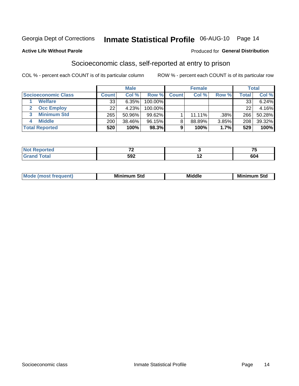## Inmate Statistical Profile 06-AUG-10 Page 14

#### **Active Life Without Parole**

#### Produced for General Distribution

### Socioeconomic class, self-reported at entry to prison

COL % - percent each COUNT is of its particular column

|                       |              | <b>Male</b> |            |              | <b>Female</b> |       |       | <b>Total</b> |
|-----------------------|--------------|-------------|------------|--------------|---------------|-------|-------|--------------|
| Socioeconomic Class   | <b>Count</b> | Col %       | Row %      | <b>Count</b> | Col %         | Row % | Total | Col %        |
| <b>Welfare</b>        | 33           | 6.35%       | 100.00%    |              |               |       | 33    | 6.24%        |
| <b>Occ Employ</b>     | 22           | 4.23%       | $100.00\%$ |              |               |       | 22    | 4.16%        |
| <b>Minimum Std</b>    | 265          | 50.96%      | $99.62\%$  |              | $11.11\%$     | .38%  | 266   | 50.28%       |
| <b>Middle</b>         | 200          | 38.46%      | 96.15%     | 8            | 88.89%        | 3.85% | 208   | 39.32%       |
| <b>Total Reported</b> | 520          | 100%        | 98.3%      |              | 100%          | 1.7%  | 529   | 100%         |

|       | $\sim$ | --                 |
|-------|--------|--------------------|
| _____ | 592    | cn 1<br><b>OU4</b> |

|  | Mo | Minin<br>Std<br>$- - - -$ | <b>Middle</b> | Min<br>Std<br>. |
|--|----|---------------------------|---------------|-----------------|
|--|----|---------------------------|---------------|-----------------|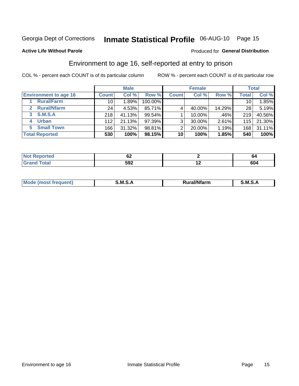# Inmate Statistical Profile 06-AUG-10 Page 15

#### **Active Life Without Parole**

#### Produced for General Distribution

### Environment to age 16, self-reported at entry to prison

COL % - percent each COUNT is of its particular column

|                                      |                  | <b>Male</b> |           |                | <b>Female</b> |        |                 | <b>Total</b> |
|--------------------------------------|------------------|-------------|-----------|----------------|---------------|--------|-----------------|--------------|
| <b>Environment to age 16</b>         | <b>Count</b>     | Col %       | Row %     | <b>Count</b>   | Col %         | Row %  | <b>Total</b>    | Col %        |
| <b>Rural/Farm</b>                    | 10               | 1.89%       | 100.00%   |                |               |        | 10 <sub>1</sub> | 1.85%        |
| <b>Rural/Nfarm</b><br>$\overline{2}$ | 24 <sub>1</sub>  | 4.53%       | 85.71%    |                | 40.00%        | 14.29% | 28              | 5.19%        |
| 3 S.M.S.A                            | 218              | 41.13%      | $99.54\%$ |                | 10.00%        | .46%   | 219             | 40.56%       |
| <b>Urban</b><br>4                    | 112              | 21.13%      | 97.39%    | 3 <sub>1</sub> | 30.00%        | 2.61%  | 115             | 21.30%       |
| <b>Small Town</b><br>5               | 166 <sub>1</sub> | 31.32%      | 98.81%    | 2              | 20.00%        | 1.19%  | 168             | 31.11%       |
| <b>Total Reported</b>                | 530              | 100%        | 98.15%    | 10             | 100%          | 1.85%  | 540             | 100%         |

| <b>Reported</b><br><b>NOT</b><br>$\sim$ | VZ  |     | œ          |
|-----------------------------------------|-----|-----|------------|
| <b>Total</b>                            | 592 | . . | Cn.<br>0U4 |

| Mo | м<br>______ | <b>17516</b><br><b>Ifarm</b><br>. | -<br>M<br>_____ |
|----|-------------|-----------------------------------|-----------------|
|    |             |                                   |                 |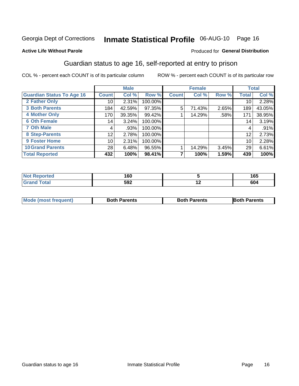# Inmate Statistical Profile 06-AUG-10 Page 16

#### **Active Life Without Parole**

#### **Produced for General Distribution**

### Guardian status to age 16, self-reported at entry to prison

COL % - percent each COUNT is of its particular column

|                                  |                 | <b>Male</b> |         |              | <b>Female</b> |       |       | <b>Total</b> |
|----------------------------------|-----------------|-------------|---------|--------------|---------------|-------|-------|--------------|
| <b>Guardian Status To Age 16</b> | <b>Count</b>    | Col %       | Row %   | <b>Count</b> | Col %         | Row % | Total | Col %        |
| 2 Father Only                    | 10              | 2.31%       | 100.00% |              |               |       | 10    | 2.28%        |
| <b>3 Both Parents</b>            | 184             | 42.59%      | 97.35%  | 5            | 71.43%        | 2.65% | 189   | 43.05%       |
| <b>4 Mother Only</b>             | 170             | 39.35%      | 99.42%  |              | 14.29%        | .58%  | 171   | 38.95%       |
| <b>6 Oth Female</b>              | 14              | 3.24%       | 100.00% |              |               |       | 14    | 3.19%        |
| <b>7 Oth Male</b>                | 4               | .93%        | 100.00% |              |               |       | 4     | .91%         |
| 8 Step-Parents                   | 12              | 2.78%       | 100.00% |              |               |       | 12    | 2.73%        |
| <b>9 Foster Home</b>             | 10 <sup>1</sup> | 2.31%       | 100.00% |              |               |       | 10    | 2.28%        |
| <b>10 Grand Parents</b>          | 28              | 6.48%       | 96.55%  |              | 14.29%        | 3.45% | 29    | 6.61%        |
| <b>Total Reported</b>            | 432             | 100%        | 98.41%  |              | 100%          | 1.59% | 439   | 100%         |

| Reported | 160 |     | 165 |
|----------|-----|-----|-----|
| Total    | 592 | . . | 604 |

| <b>Mode (most frequent)</b> | <b>Both Parents</b> | <b>Both Parents</b> | <b>Both Parents</b> |
|-----------------------------|---------------------|---------------------|---------------------|
|                             |                     |                     |                     |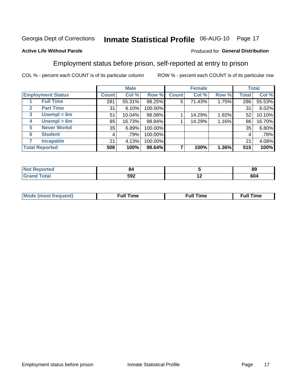# Inmate Statistical Profile 06-AUG-10 Page 17

#### **Active Life Without Parole**

#### Produced for General Distribution

### Employment status before prison, self-reported at entry to prison

COL % - percent each COUNT is of its particular column

|                                  |              | <b>Male</b> |         |              | <b>Female</b> |       |              | <b>Total</b> |
|----------------------------------|--------------|-------------|---------|--------------|---------------|-------|--------------|--------------|
| <b>Employment Status</b>         | <b>Count</b> | Col %       | Row %   | <b>Count</b> | Col %         | Row % | <b>Total</b> | Col %        |
| <b>Full Time</b>                 | 281          | 55.31%      | 98.25%  | 5            | 71.43%        | 1.75% | 286          | 55.53%       |
| <b>Part Time</b><br>$\mathbf{2}$ | 31           | 6.10%       | 100.00% |              |               |       | 31           | 6.02%        |
| Unempl $<$ 6m<br>3               | 51           | 10.04%      | 98.08%  |              | 14.29%        | 1.92% | 52           | 10.10%       |
| $U$ nempl > 6m<br>4              | 85           | 16.73%      | 98.84%  |              | 14.29%        | 1.16% | 86           | 16.70%       |
| <b>Never Workd</b><br>5          | 35           | 6.89%       | 100.00% |              |               |       | 35           | 6.80%        |
| <b>Student</b><br>6              | 4            | .79%        | 100.00% |              |               |       | 4            | .78%         |
| <b>Incapable</b>                 | 21           | 4.13%       | 100.00% |              |               |       | 21           | 4.08%        |
| <b>Total Reported</b>            | 508          | 100%        | 98.64%  |              | 100%          | 1.36% | 515          | 100%         |

| тес. | אס<br>$\sim$ $\sim$ |     | - -<br>89 |
|------|---------------------|-----|-----------|
|      | 592                 | . . | 604       |

| Mc | ∴ull | ----<br>ıme<br>w |
|----|------|------------------|
|    |      |                  |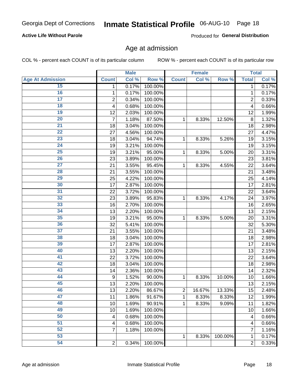# Inmate Statistical Profile 06-AUG-10 Page 18

#### **Active Life Without Parole**

Produced for General Distribution

### Age at admission

COL % - percent each COUNT is of its particular column

|                         |                         | <b>Male</b> |         |                | <b>Female</b> |         |                | <b>Total</b> |
|-------------------------|-------------------------|-------------|---------|----------------|---------------|---------|----------------|--------------|
| <b>Age At Admission</b> | <b>Count</b>            | Col %       | Row %   | <b>Count</b>   | Col %         | Row %   | <b>Total</b>   | Col %        |
| 15                      | 1                       | 0.17%       | 100.00% |                |               |         | 1              | 0.17%        |
| 16                      | 1                       | 0.17%       | 100.00% |                |               |         | 1              | 0.17%        |
| $\overline{17}$         | $\overline{\mathbf{c}}$ | 0.34%       | 100.00% |                |               |         | $\overline{2}$ | 0.33%        |
| 18                      | 4                       | 0.68%       | 100.00% |                |               |         | 4              | 0.66%        |
| 19                      | 12                      | 2.03%       | 100.00% |                |               |         | 12             | 1.99%        |
| $\overline{20}$         | $\overline{7}$          | 1.18%       | 87.50%  | 1              | 8.33%         | 12.50%  | 8              | 1.32%        |
| $\overline{21}$         | 18                      | 3.04%       | 100.00% |                |               |         | 18             | 2.98%        |
| 22                      | 27                      | 4.56%       | 100.00% |                |               |         | 27             | 4.47%        |
| 23                      | 18                      | 3.04%       | 94.74%  | 1              | 8.33%         | 5.26%   | 19             | 3.15%        |
| 24                      | 19                      | 3.21%       | 100.00% |                |               |         | 19             | 3.15%        |
| $\overline{25}$         | 19                      | 3.21%       | 95.00%  | 1              | 8.33%         | 5.00%   | 20             | 3.31%        |
| 26                      | 23                      | 3.89%       | 100.00% |                |               |         | 23             | 3.81%        |
| $\overline{27}$         | 21                      | 3.55%       | 95.45%  | 1              | 8.33%         | 4.55%   | 22             | 3.64%        |
| 28                      | 21                      | 3.55%       | 100.00% |                |               |         | 21             | 3.48%        |
| 29                      | 25                      | 4.22%       | 100.00% |                |               |         | 25             | 4.14%        |
| 30                      | 17                      | 2.87%       | 100.00% |                |               |         | 17             | 2.81%        |
| 31                      | 22                      | 3.72%       | 100.00% |                |               |         | 22             | 3.64%        |
| 32                      | 23                      | 3.89%       | 95.83%  | 1              | 8.33%         | 4.17%   | 24             | 3.97%        |
| 33                      | 16                      | 2.70%       | 100.00% |                |               |         | 16             | 2.65%        |
| 34                      | 13                      | 2.20%       | 100.00% |                |               |         | 13             | 2.15%        |
| 35                      | 19                      | 3.21%       | 95.00%  | 1              | 8.33%         | 5.00%   | 20             | 3.31%        |
| 36                      | 32                      | 5.41%       | 100.00% |                |               |         | 32             | 5.30%        |
| $\overline{37}$         | 21                      | 3.55%       | 100.00% |                |               |         | 21             | 3.48%        |
| 38                      | 18                      | 3.04%       | 100.00% |                |               |         | 18             | 2.98%        |
| 39                      | 17                      | 2.87%       | 100.00% |                |               |         | 17             | 2.81%        |
| 40                      | 13                      | 2.20%       | 100.00% |                |               |         | 13             | 2.15%        |
| 41                      | 22                      | 3.72%       | 100.00% |                |               |         | 22             | 3.64%        |
| 42                      | 18                      | 3.04%       | 100.00% |                |               |         | 18             | 2.98%        |
| 43                      | 14                      | 2.36%       | 100.00% |                |               |         | 14             | 2.32%        |
| 44                      | 9                       | 1.52%       | 90.00%  | 1              | 8.33%         | 10.00%  | 10             | 1.66%        |
| 45                      | 13                      | 2.20%       | 100.00% |                |               |         | 13             | 2.15%        |
| 46                      | 13                      | 2.20%       | 86.67%  | $\overline{c}$ | 16.67%        | 13.33%  | 15             | 2.48%        |
| 47                      | 11                      | 1.86%       | 91.67%  | 1              | 8.33%         | 8.33%   | 12             | 1.99%        |
| 48                      | 10                      | 1.69%       | 90.91%  | 1              | 8.33%         | 9.09%   | 11             | 1.82%        |
| 49                      | 10                      | 1.69%       | 100.00% |                |               |         | 10             | 1.66%        |
| 50                      | 4                       | 0.68%       | 100.00% |                |               |         | 4              | 0.66%        |
| $\overline{51}$         | 4                       | 0.68%       | 100.00% |                |               |         | 4              | 0.66%        |
| 52                      | 7                       | 1.18%       | 100.00% |                |               |         | 7              | 1.16%        |
| 53                      |                         |             |         | 1              | 8.33%         | 100.00% | 1              | 0.17%        |
| 54                      | $\boldsymbol{2}$        | 0.34%       | 100.00% |                |               |         | 2              | 0.33%        |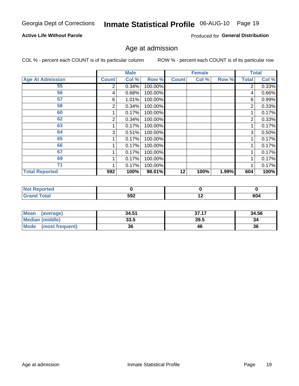# Inmate Statistical Profile 06-AUG-10 Page 19

#### **Active Life Without Parole**

Produced for General Distribution

### Age at admission

COL % - percent each COUNT is of its particular column

|                         |              | <b>Male</b> |         |              | <b>Female</b> |       |              | <b>Total</b> |
|-------------------------|--------------|-------------|---------|--------------|---------------|-------|--------------|--------------|
| <b>Age At Admission</b> | <b>Count</b> | Col %       | Row %   | <b>Count</b> | Col %         | Row % | <b>Total</b> | Col %        |
| 55                      | 2            | 0.34%       | 100.00% |              |               |       | 2            | 0.33%        |
| 56                      | 4            | 0.68%       | 100.00% |              |               |       | 4            | 0.66%        |
| 57                      | 6            | 1.01%       | 100.00% |              |               |       | 6            | 0.99%        |
| 58                      | 2            | 0.34%       | 100.00% |              |               |       | 2            | 0.33%        |
| 60                      |              | 0.17%       | 100.00% |              |               |       |              | 0.17%        |
| 62                      | 2            | 0.34%       | 100.00% |              |               |       | 2            | 0.33%        |
| 63                      |              | 0.17%       | 100.00% |              |               |       |              | 0.17%        |
| 64                      | 3            | 0.51%       | 100.00% |              |               |       | 3            | 0.50%        |
| 65                      |              | 0.17%       | 100.00% |              |               |       |              | 0.17%        |
| 66                      |              | 0.17%       | 100.00% |              |               |       |              | 0.17%        |
| 67                      |              | 0.17%       | 100.00% |              |               |       |              | 0.17%        |
| 69                      |              | 0.17%       | 100.00% |              |               |       |              | 0.17%        |
| 71                      |              | 0.17%       | 100.00% |              |               |       |              | 0.17%        |
| <b>Total Reported</b>   | 592          | 100%        | 98.01%  | 12           | 100%          | 1.99% | 604          | 100%         |

| <b>Not Reported</b> |     |     |     |
|---------------------|-----|-----|-----|
| <b>Total</b>        | 592 | . . | 604 |

| Mean<br>(average)       | 34.51 | 37.17 | 34.56 |
|-------------------------|-------|-------|-------|
| <b>Median (middle)</b>  | 33.5  | 39.5  | 34    |
| Mode<br>(most frequent) | 36    | 46    | 36    |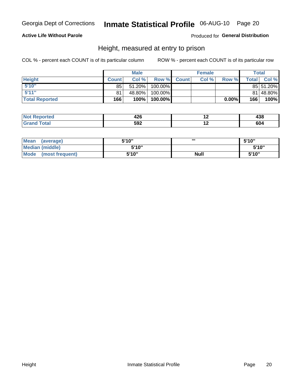### Inmate Statistical Profile 06-AUG-10 Page 20

#### **Active Life Without Parole**

Produced for General Distribution

### Height, measured at entry to prison

COL % - percent each COUNT is of its particular column

|                       |              | <b>Male</b> |         |             | <b>Female</b> |       |                | Total     |
|-----------------------|--------------|-------------|---------|-------------|---------------|-------|----------------|-----------|
| <b>Height</b>         | <b>Count</b> | Col%        |         | Row % Count | Col %         | Row % | <b>Total</b> I | Col %     |
| 5'10''                | 85           | 51.20%      | 100.00% |             |               |       |                | 85 51.20% |
| 5'11''                | 81           | 48.80%      | 100.00% |             |               |       |                | 81 48.80% |
| <b>Total Reported</b> | 166          | 100%        | 100.00% |             |               | 0.00% | 166            | 100%      |

| пео | ,,,<br>14 V<br>$\sim$ |   | <br>סטו |
|-----|-----------------------|---|---------|
|     | cnn<br>⊾טע            | . | 604     |

| <b>Mean</b><br>(average)       | 5'10'' | ,,,         | 5'10" |
|--------------------------------|--------|-------------|-------|
| <b>Median (middle)</b>         | 5'10"  |             | 5'10" |
| <b>Mode</b><br>(most frequent) | 5'10"  | <b>Null</b> | 5'10" |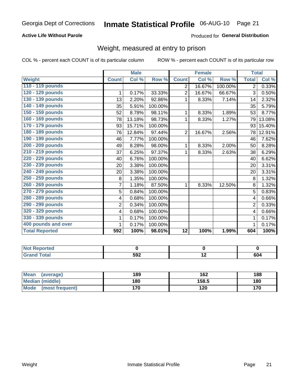### Inmate Statistical Profile 06-AUG-10 Page 21

#### **Active Life Without Parole**

#### Produced for General Distribution

### Weight, measured at entry to prison

COL % - percent each COUNT is of its particular column

|                       |                | <b>Male</b> |         |                | <b>Female</b> |         | <b>Total</b>   |                    |
|-----------------------|----------------|-------------|---------|----------------|---------------|---------|----------------|--------------------|
| <b>Weight</b>         | <b>Count</b>   | Col %       | Row %   | <b>Count</b>   | Col %         | Row %   | <b>Total</b>   | Col %              |
| 110 - 119 pounds      |                |             |         | 2              | 16.67%        | 100.00% | $\overline{2}$ | 0.33%              |
| 120 - 129 pounds      | 1              | 0.17%       | 33.33%  | $\overline{2}$ | 16.67%        | 66.67%  | 3              | 0.50%              |
| 130 - 139 pounds      | 13             | 2.20%       | 92.86%  | 1              | 8.33%         | 7.14%   | 14             | 2.32%              |
| 140 - 149 pounds      | 35             | 5.91%       | 100.00% |                |               |         | 35             | 5.79%              |
| 150 - 159 pounds      | 52             | 8.78%       | 98.11%  | 1              | 8.33%         | 1.89%   | 53             | 8.77%              |
| 160 - 169 pounds      | 78             | 13.18%      | 98.73%  | 1              | 8.33%         | 1.27%   | 79             | 13.08%             |
| 170 - 179 pounds      | 93             | 15.71%      | 100.00% |                |               |         | 93             | 15.40%             |
| 180 - 189 pounds      | 76             | 12.84%      | 97.44%  | $\overline{2}$ | 16.67%        | 2.56%   | 78             | 12.91%             |
| 190 - 199 pounds      | 46             | 7.77%       | 100.00% |                |               |         | 46             | 7.62%              |
| 200 - 209 pounds      | 49             | 8.28%       | 98.00%  | 1              | 8.33%         | 2.00%   | 50             | 8.28%              |
| 210 - 219 pounds      | 37             | 6.25%       | 97.37%  | 1              | 8.33%         | 2.63%   | 38             | 6.29%              |
| 220 - 229 pounds      | 40             | 6.76%       | 100.00% |                |               |         | 40             | 6.62%              |
| 230 - 239 pounds      | 20             | 3.38%       | 100.00% |                |               |         | 20             | 3.31%              |
| 240 - 249 pounds      | 20             | 3.38%       | 100.00% |                |               |         | 20             | 3.31%              |
| 250 - 259 pounds      | 8              | 1.35%       | 100.00% |                |               |         | 8              | 1.32%              |
| 260 - 269 pounds      | $\overline{7}$ | 1.18%       | 87.50%  | 1              | 8.33%         | 12.50%  | 8              | 1.32%              |
| 270 - 279 pounds      | 5              | 0.84%       | 100.00% |                |               |         | 5              | 0.83%              |
| 280 - 289 pounds      | 4              | 0.68%       | 100.00% |                |               |         | 4              | 0.66%              |
| 290 - 299 pounds      | $\overline{2}$ | 0.34%       | 100.00% |                |               |         | $\overline{2}$ | 0.33%              |
| 320 - 329 pounds      | 4              | 0.68%       | 100.00% |                |               |         | 4              | 0.66%              |
| 330 - 339 pounds      | 1              | 0.17%       | 100.00% |                |               |         | 1              | 0.17%              |
| 400 pounds and over   | 1              | 0.17%       | 100.00% |                |               |         | 1              | 0.17%              |
| <b>Total Reported</b> | 592            | 100%        | 98.01%  | 12             | 100%          | 1.99%   | 604            | $\overline{100\%}$ |

| orted                  |            |     |     |
|------------------------|------------|-----|-----|
| <b>cotal</b><br>$\sim$ | にへっ<br>אפט | . . | 604 |

| <b>Mean</b><br>(average)       | 189 | 162   | 188 |
|--------------------------------|-----|-------|-----|
| <b>Median (middle)</b>         | 180 | 158.5 | 180 |
| <b>Mode</b><br>(most frequent) | 170 | 120   | 170 |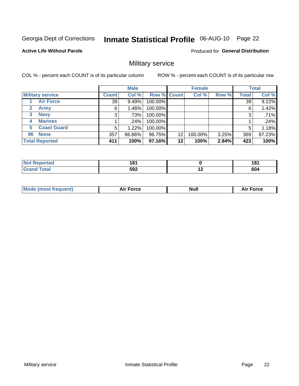# Inmate Statistical Profile 06-AUG-10 Page 22

**Active Life Without Parole** 

Produced for General Distribution

### Military service

COL % - percent each COUNT is of its particular column

|                             |                 | <b>Male</b> |                    |    | <b>Female</b> |       |              | <b>Total</b> |
|-----------------------------|-----------------|-------------|--------------------|----|---------------|-------|--------------|--------------|
| <b>Military service</b>     | <b>Count</b>    | Col %       | <b>Row % Count</b> |    | Col %         | Row % | <b>Total</b> | Col %        |
| <b>Air Force</b>            | 39 <sub>1</sub> | 9.49%       | 100.00%            |    |               |       | 39           | 9.22%        |
| $\mathbf{2}$<br><b>Army</b> | 6               | $1.46\%$    | 100.00%            |    |               |       | 6            | 1.42%        |
| <b>Navy</b><br>3            | 3               | .73%        | 100.00%            |    |               |       | 3            | .71%         |
| <b>Marines</b><br>4         |                 | .24%        | 100.00%            |    |               |       |              | .24%         |
| <b>Coast Guard</b><br>5     | 5               | 1.22%       | 100.00%            |    |               |       | 5            | 1.18%        |
| <b>None</b><br>96           | 357             | 86.86%      | 96.75%             | 12 | 100.00%       | 3.25% | 369          | 87.23%       |
| <b>Total Reported</b>       | 411             | 100%        | 97.16%             | 12 | 100%          | 2.84% | 423          | 100%         |

| orted        | 104<br>۰о<br>__ |     | 404<br>שו |
|--------------|-----------------|-----|-----------|
| <b>Total</b> | 592             | . . | 604       |

|  |  | <b>Mode</b><br>uent)<br>most tren | Force<br>Aır | <b>Null</b> | orce |
|--|--|-----------------------------------|--------------|-------------|------|
|--|--|-----------------------------------|--------------|-------------|------|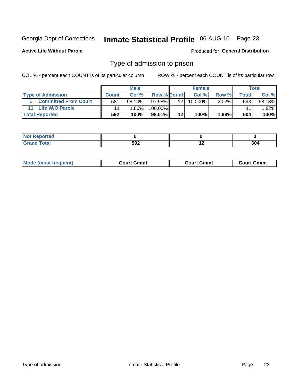# Inmate Statistical Profile 06-AUG-10 Page 23

**Active Life Without Parole** 

Produced for General Distribution

### Type of admission to prison

COL % - percent each COUNT is of its particular column

|                             |              | <b>Male</b> |                    |    | <b>Female</b> |          |       | Total  |
|-----------------------------|--------------|-------------|--------------------|----|---------------|----------|-------|--------|
| <b>Type of Admission</b>    | <b>Count</b> | Col%        | <b>Row % Count</b> |    | Col %         | Row %    | Total | Col %  |
| <b>Committed From Court</b> | 581          | $98.14\%$   | 97.98%             | 12 | 100.00%       | $2.02\%$ | 593   | 98.18% |
| Life W/O Parole             |              | 1.86%       | 100.00%            |    |               |          | 11    | 1.82%  |
| <b>Total Reported</b>       | 592          | 100%        | 98.01%             | 12 | 100%          | $1.99\%$ | 604   | 100%   |

| <b>Not Reported</b> |     |     |
|---------------------|-----|-----|
| <b>Total</b>        | 592 | 604 |

| <b>Mode (most frequent)</b> | Court Cmmt | <b>Court Cmmt</b> | Court Cmml |
|-----------------------------|------------|-------------------|------------|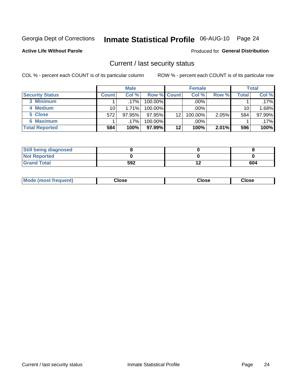# Inmate Statistical Profile 06-AUG-10 Page 24

**Active Life Without Parole** 

#### Produced for General Distribution

### Current / last security status

COL % - percent each COUNT is of its particular column

|                        |              | <b>Male</b> |                    |    | <b>Female</b> |          |              | <b>Total</b> |
|------------------------|--------------|-------------|--------------------|----|---------------|----------|--------------|--------------|
| <b>Security Status</b> | <b>Count</b> | Col %       | <b>Row % Count</b> |    | Col %         | Row %    | <b>Total</b> | Col %        |
| 3 Minimum              |              | $.17\%$     | $100.00\%$         |    | $.00\%$       |          |              | $.17\%$      |
| 4 Medium               | 10           | 1.71%       | $100.00\%$         |    | .00%          |          | 10           | 1.68%        |
| 5 Close                | 572          | 97.95%      | 97.95%             | 12 | 100.00%       | $2.05\%$ | 584          | 97.99%       |
| 6 Maximum              |              | $.17\%$     | 100.00%            |    | $.00\%$       |          |              | $.17\%$      |
| <b>Total Reported</b>  | 584          | 100%        | 97.99%             | 12 | 100%          | 2.01%    | 596          | 100%         |

| <b>Still being diagnosed</b> |     |     |
|------------------------------|-----|-----|
| <b>Not Reported</b>          |     |     |
| <b>Grand Total</b>           | 592 | 604 |

| <b>Mode</b><br>Close<br>: (most frequent)<br>oseت<br>Close<br>- - - -<br>- - - -<br>- - - - |
|---------------------------------------------------------------------------------------------|
|---------------------------------------------------------------------------------------------|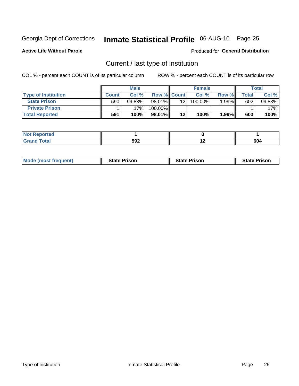# Inmate Statistical Profile 06-AUG-10 Page 25

**Active Life Without Parole** 

Produced for General Distribution

### Current / last type of institution

COL % - percent each COUNT is of its particular column

|                            |              | <b>Male</b> |                    |    | <b>Female</b> |       |       | <b>Total</b> |
|----------------------------|--------------|-------------|--------------------|----|---------------|-------|-------|--------------|
| <b>Type of Institution</b> | <b>Count</b> | Col %       | <b>Row % Count</b> |    | Col %         | Row % | Total | Col %        |
| <b>State Prison</b>        | 590          | 99.83%      | 98.01%             | 12 | 100.00%       | 1.99% | 602   | 99.83%       |
| <b>Private Prison</b>      |              | 17%         | 100.00%            |    |               |       |       | .17%         |
| <b>Total Reported</b>      | 591          | 100%        | $98.01\%$          | 12 | 100%          | 1.99% | 603   | 100%         |

| rtea               |     |                          |               |
|--------------------|-----|--------------------------|---------------|
| التراسيف والمستندر | 592 | $\overline{\phantom{a}}$ | $\sim$<br>our |

| <b>Mode (most frequent)</b> | <b>State Prison</b> | <b>State Prison</b> | <b>State Prison</b> |
|-----------------------------|---------------------|---------------------|---------------------|
|                             |                     |                     |                     |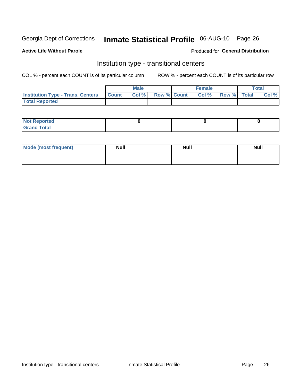# Inmate Statistical Profile 06-AUG-10 Page 26

#### **Active Life Without Parole**

#### Produced for General Distribution

### Institution type - transitional centers

COL % - percent each COUNT is of its particular column

|                                          |              | <b>Male</b> |                    | <b>Female</b> |             | <b>Total</b> |
|------------------------------------------|--------------|-------------|--------------------|---------------|-------------|--------------|
| <b>Institution Type - Trans. Centers</b> | <b>Count</b> | CoI%        | <b>Row % Count</b> | Col %         | Row % Total | Col %        |
| <b>Total Reported</b>                    |              |             |                    |               |             |              |

| <b>Reported</b><br><b>NOT</b>   |  |  |
|---------------------------------|--|--|
| $\sim$<br>C <sub>r</sub><br>--- |  |  |

| Mode (most frequent) | <b>Null</b> | <b>Null</b> | <b>Null</b> |
|----------------------|-------------|-------------|-------------|
|                      |             |             |             |
|                      |             |             |             |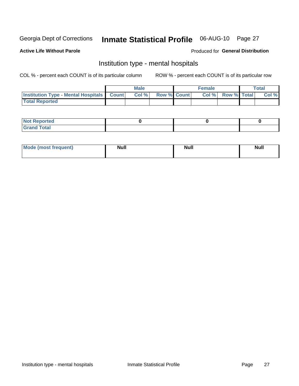# Inmate Statistical Profile 06-AUG-10 Page 27

#### **Active Life Without Parole**

#### Produced for General Distribution

### Institution type - mental hospitals

COL % - percent each COUNT is of its particular column

|                                                  | <b>Male</b> |                    | <b>Female</b> |                   | Total |
|--------------------------------------------------|-------------|--------------------|---------------|-------------------|-------|
| <b>Institution Type - Mental Hospitals Count</b> | Col %       | <b>Row % Count</b> |               | Col % Row % Total | Col % |
| <b>Total Reported</b>                            |             |                    |               |                   |       |

| <b>Not Reported</b>                     |  |  |
|-----------------------------------------|--|--|
| <b>otal</b><br>C <sub>r</sub><br>______ |  |  |

| Mode.<br>frequent) | <b>Nul</b><br>_____ | <b>Null</b> | <b>Null</b> |
|--------------------|---------------------|-------------|-------------|
|                    |                     |             |             |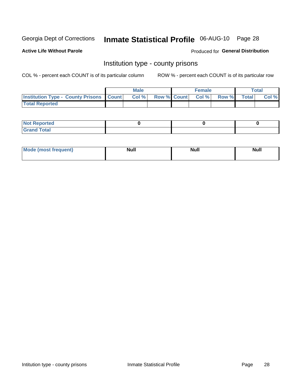# Inmate Statistical Profile 06-AUG-10 Page 28

**Active Life Without Parole** 

Produced for General Distribution

### Institution type - county prisons

COL % - percent each COUNT is of its particular column

|                                                  | <b>Male</b> |  | <b>Female</b>            |             | <b>Total</b> |
|--------------------------------------------------|-------------|--|--------------------------|-------------|--------------|
| <b>Institution Type - County Prisons   Count</b> | Col %       |  | <b>Row % Count Col %</b> | Row % Total | Col %        |
| <b>Total Reported</b>                            |             |  |                          |             |              |

| <b>Not Reported</b>   |  |  |
|-----------------------|--|--|
| <b>Total</b><br>Granc |  |  |

| <b>Mode</b>      | <b>Null</b> | <b>Null</b> | <b>Null</b> |  |
|------------------|-------------|-------------|-------------|--|
| (most freauent). |             |             |             |  |
|                  |             |             |             |  |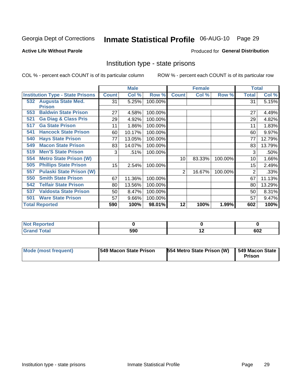# Inmate Statistical Profile 06-AUG-10 Page 29

#### **Active Life Without Parole**

#### Produced for General Distribution

### Institution type - state prisons

COL % - percent each COUNT is of its particular column

|                                         |              | <b>Male</b> |         |                | <b>Female</b> |         | <b>Total</b> |        |
|-----------------------------------------|--------------|-------------|---------|----------------|---------------|---------|--------------|--------|
| <b>Institution Type - State Prisons</b> | <b>Count</b> | Col %       | Row %   | <b>Count</b>   | Col %         | Row %   | Total        | Col %  |
| 532 Augusta State Med.<br><b>Prison</b> | 31           | 5.25%       | 100.00% |                |               |         | 31           | 5.15%  |
| <b>Baldwin State Prison</b><br>553      | 27           | 4.58%       | 100.00% |                |               |         | 27           | 4.49%  |
| <b>Ga Diag &amp; Class Pris</b><br>521  | 29           | 4.92%       | 100.00% |                |               |         | 29           | 4.82%  |
| <b>Ga State Prison</b><br>517           | 11           | 1.86%       | 100.00% |                |               |         | 11           | 1.83%  |
| <b>Hancock State Prison</b><br>541      | 60           | 10.17%      | 100.00% |                |               |         | 60           | 9.97%  |
| <b>Hays State Prison</b><br>540         | 77           | 13.05%      | 100.00% |                |               |         | 77           | 12.79% |
| <b>Macon State Prison</b><br>549        | 83           | 14.07%      | 100.00% |                |               |         | 83           | 13.79% |
| <b>Men'S State Prison</b><br>519        | 3            | .51%        | 100.00% |                |               |         | 3            | .50%   |
| <b>Metro State Prison (W)</b><br>554    |              |             |         | 10             | 83.33%        | 100.00% | 10           | 1.66%  |
| <b>Phillips State Prison</b><br>505     | 15           | 2.54%       | 100.00% |                |               |         | 15           | 2.49%  |
| <b>Pulaski State Prison (W)</b><br>557  |              |             |         | $\overline{2}$ | 16.67%        | 100.00% | 2            | .33%   |
| <b>Smith State Prison</b><br>550        | 67           | 11.36%      | 100.00% |                |               |         | 67           | 11.13% |
| <b>Telfair State Prison</b><br>542      | 80           | 13.56%      | 100.00% |                |               |         | 80           | 13.29% |
| <b>Valdosta State Prison</b><br>537     | 50           | 8.47%       | 100.00% |                |               |         | 50           | 8.31%  |
| <b>Ware State Prison</b><br>501         | 57           | 9.66%       | 100.00% |                |               |         | 57           | 9.47%  |
| <b>Total Reported</b>                   | 590          | 100%        | 98.01%  | 12             | 100%          | 1.99%   | 602          | 100%   |

| Reported<br>.         |     |     |     |
|-----------------------|-----|-----|-----|
| <b>Total</b><br>_____ | 590 | . . | 602 |

| Mode (most frequent) | <b>1549 Macon State Prison</b> | 554 Metro State Prison (W) | 549 Macon State<br>Prison |
|----------------------|--------------------------------|----------------------------|---------------------------|
|----------------------|--------------------------------|----------------------------|---------------------------|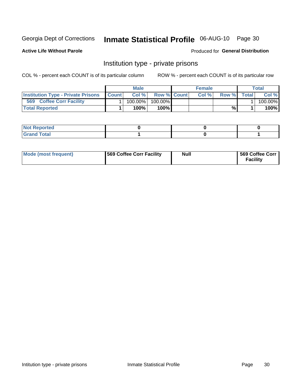# Inmate Statistical Profile 06-AUG-10 Page 30

**Active Life Without Parole** 

Produced for General Distribution

### Institution type - private prisons

COL % - percent each COUNT is of its particular column

|                                           |              | Male       |                    | <b>Female</b> |       |              | Total   |
|-------------------------------------------|--------------|------------|--------------------|---------------|-------|--------------|---------|
| <b>Institution Type - Private Prisons</b> | <b>Count</b> | Col%       | <b>Row % Count</b> | Col%          | Row % | <b>Total</b> | Col %   |
| 569<br><b>Coffee Corr Facility</b>        |              | $100.00\%$ | 100.00%            |               |       |              | 100.00% |
| <b>Total Reported</b>                     |              | $100\%$ .  | 100%               |               | %     |              | 100%    |

| Not Reported |  |  |
|--------------|--|--|
|              |  |  |

| Mode (most frequent) | 569 Coffee Corr Facility | <b>Null</b> | 569 Coffee Corr<br><b>Facility</b> |
|----------------------|--------------------------|-------------|------------------------------------|
|----------------------|--------------------------|-------------|------------------------------------|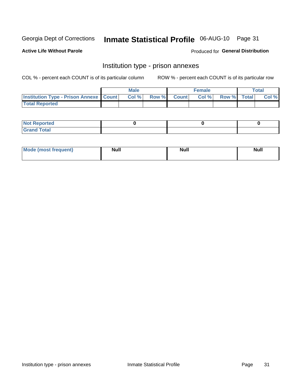# Inmate Statistical Profile 06-AUG-10 Page 31

**Active Life Without Parole** 

Produced for General Distribution

### Institution type - prison annexes

COL % - percent each COUNT is of its particular column

|                                                   | <b>Male</b> |              |       | <b>Female</b> |                    | <b>Total</b> |
|---------------------------------------------------|-------------|--------------|-------|---------------|--------------------|--------------|
| <b>Institution Type - Prison Annexe   Count  </b> | Col %       | <b>Row %</b> | Count | Col %         | <b>Row %</b> Total | Col %        |
| <b>Total Reported</b>                             |             |              |       |               |                    |              |

| <b>Reported</b><br>I NOT                      |  |  |
|-----------------------------------------------|--|--|
| <b>Total</b><br>Carar<br>$\sim$ . When $\sim$ |  |  |

| <b>Mode</b>     | <b>Null</b> | <b>Null</b> | <b>Null</b> |
|-----------------|-------------|-------------|-------------|
| most frequent). |             |             |             |
|                 |             |             |             |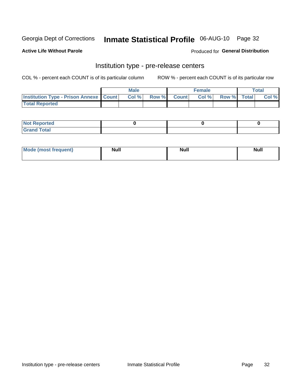# Inmate Statistical Profile 06-AUG-10 Page 32

**Active Life Without Parole** 

Produced for General Distribution

# Institution type - pre-release centers

COL % - percent each COUNT is of its particular column

|                                                   | <b>Male</b> |              |       | <b>Female</b> |                    | <b>Total</b> |
|---------------------------------------------------|-------------|--------------|-------|---------------|--------------------|--------------|
| <b>Institution Type - Prison Annexe   Count  </b> | Col %       | <b>Row %</b> | Count | Col %         | <b>Row %</b> Total | Col %        |
| <b>Total Reported</b>                             |             |              |       |               |                    |              |

| <b>Reported</b><br>I NOT |  |  |
|--------------------------|--|--|
| <b>Total</b><br>$C$ ren  |  |  |

| $^{\prime}$ Mo <sub>t</sub><br>frequent)<br>⊥(most | <b>Null</b> | Noll<br><b>vull</b> | <b>Null</b> |
|----------------------------------------------------|-------------|---------------------|-------------|
|                                                    |             |                     |             |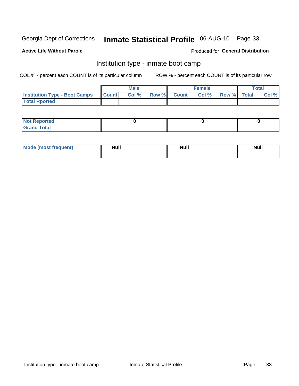# Inmate Statistical Profile 06-AUG-10 Page 33

#### **Active Life Without Parole**

#### Produced for General Distribution

### Institution type - inmate boot camp

COL % - percent each COUNT is of its particular column

|                                      |              | <b>Male</b> |               |              | <b>Female</b> |             | <b>Total</b> |
|--------------------------------------|--------------|-------------|---------------|--------------|---------------|-------------|--------------|
| <b>Institution Type - Boot Camps</b> | <b>Count</b> | Col %       | <b>Row %I</b> | <b>Count</b> | Col %         | Row % Total | Col %        |
| <b>Total Rported</b>                 |              |             |               |              |               |             |              |

| <b>Not Reported</b>            |  |  |
|--------------------------------|--|--|
| <b>Total</b><br>C <sub>r</sub> |  |  |

| <b>Mode (most frequent)</b> | <b>Null</b> | <b>Null</b> | <b>Null</b> |
|-----------------------------|-------------|-------------|-------------|
|                             |             |             |             |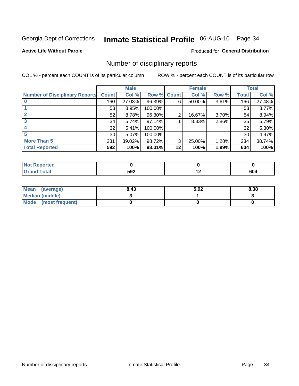# Inmate Statistical Profile 06-AUG-10 Page 34

**Active Life Without Parole** 

Produced for General Distribution

### Number of disciplinary reports

COL % - percent each COUNT is of its particular column

|                                       |                 | <b>Male</b> |                    |    | <b>Female</b> |       |              | <b>Total</b> |
|---------------------------------------|-----------------|-------------|--------------------|----|---------------|-------|--------------|--------------|
| <b>Number of Disciplinary Reports</b> | <b>Count</b>    | Col %       | <b>Row % Count</b> |    | Col %         | Row % | <b>Total</b> | Col %        |
|                                       | 160             | 27.03%      | 96.39%             | 6  | 50.00%        | 3.61% | 166          | 27.48%       |
|                                       | 53              | 8.95%       | 100.00%            |    |               |       | 53           | 8.77%        |
| 2                                     | 52              | 8.78%       | 96.30%             | 2  | 16.67%        | 3.70% | 54           | 8.94%        |
| 3                                     | 34              | 5.74%       | 97.14%             |    | 8.33%         | 2.86% | 35           | 5.79%        |
|                                       | 32              | 5.41%       | 100.00%            |    |               |       | 32           | 5.30%        |
| 5                                     | 30 <sup>1</sup> | 5.07%       | 100.00%            |    |               |       | 30           | 4.97%        |
| <b>More Than 5</b>                    | 231             | 39.02%      | 98.72%             | 3  | 25.00%        | 1.28% | 234          | 38.74%       |
| <b>Total Reported</b>                 | 592             | 100%        | 98.01%             | 12 | 100%          | 1.99% | 604          | 100%         |

| NO<br>тео |     |             |     |
|-----------|-----|-------------|-----|
| Total     | 592 | $\cdot$ $-$ | 604 |

| Mean (average)       | 8.43 | 5.92 | 8.38 |
|----------------------|------|------|------|
| Median (middle)      |      |      |      |
| Mode (most frequent) |      |      |      |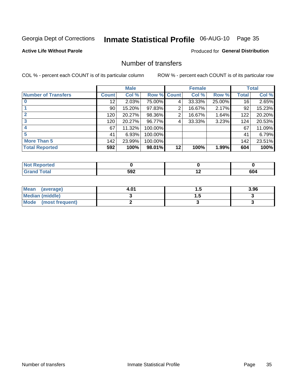# Inmate Statistical Profile 06-AUG-10 Page 35

#### **Active Life Without Parole**

#### **Produced for General Distribution**

### Number of transfers

COL % - percent each COUNT is of its particular column

|                            |              | <b>Male</b> |             |    | <b>Female</b> |        |              | <b>Total</b> |
|----------------------------|--------------|-------------|-------------|----|---------------|--------|--------------|--------------|
| <b>Number of Transfers</b> | <b>Count</b> | Col %       | Row % Count |    | Col %         | Row %  | <b>Total</b> | Col %        |
|                            | 12           | 2.03%       | 75.00%      | 4  | 33.33%        | 25.00% | 16           | 2.65%        |
|                            | 90           | 15.20%      | 97.83%      | 2  | 16.67%        | 2.17%  | 92           | 15.23%       |
| $\mathbf{2}$               | 120          | 20.27%      | 98.36%      | 2  | 16.67%        | 1.64%  | 122          | 20.20%       |
| 3                          | 120          | 20.27%      | 96.77%      | 4  | 33.33%        | 3.23%  | 124          | 20.53%       |
|                            | 67           | 11.32%      | 100.00%     |    |               |        | 67           | 11.09%       |
| 5                          | 41           | 6.93%       | 100.00%     |    |               |        | 41           | 6.79%        |
| <b>More Than 5</b>         | 142          | 23.99%      | 100.00%     |    |               |        | 142          | 23.51%       |
| <b>Total Reported</b>      | 592          | 100%        | 98.01%      | 12 | 100%          | 1.99%  | 604          | 100%         |

| <b>prted</b><br>NOT |     |    |     |
|---------------------|-----|----|-----|
| 'otal               | 592 | -- | 6U4 |

| Mean (average)       | 4.01 | . . | 3.96 |
|----------------------|------|-----|------|
| Median (middle)      |      |     |      |
| Mode (most frequent) |      |     |      |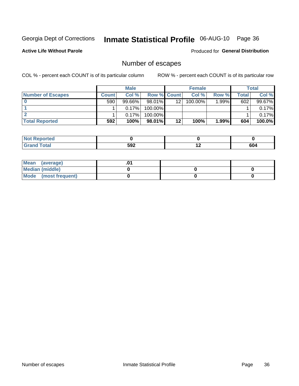# Inmate Statistical Profile 06-AUG-10 Page 36

#### **Active Life Without Parole**

Produced for General Distribution

### Number of escapes

COL % - percent each COUNT is of its particular column

|                          |         | <b>Male</b> |                    |    | <b>Female</b> |       |       | <b>Total</b> |
|--------------------------|---------|-------------|--------------------|----|---------------|-------|-------|--------------|
| <b>Number of Escapes</b> | Count l | Col %       | <b>Row % Count</b> |    | Col %         | Row % | Total | Col %        |
|                          | 590     | $99.66\%$   | $98.01\%$          | 12 | 100.00%       | 1.99% | 602   | 99.67%       |
|                          |         | 0.17%       | 100.00%            |    |               |       |       | $0.17\%$     |
|                          |         | 0.17%       | 100.00%            |    |               |       |       | $0.17\%$     |
| <b>Total Reported</b>    | 592     | 100%        | 98.01%             | 12 | 100%          | 1.99% | 604   | $100.0\%$    |

| <b>Not Reported</b>         |     |     |     |
|-----------------------------|-----|-----|-----|
| <b>Total</b><br><b>Grar</b> | 592 | . . | 604 |

| Mean (average)       |  |  |
|----------------------|--|--|
| Median (middle)      |  |  |
| Mode (most frequent) |  |  |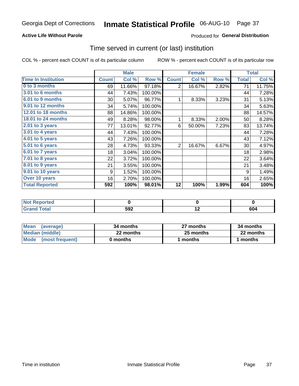#### **Active Life Without Parole**

### **Produced for General Distribution**

### Time served in current (or last) institution

COL % - percent each COUNT is of its particular column

|                            |              | <b>Male</b> |         |                | <b>Female</b> |       |              | <b>Total</b> |
|----------------------------|--------------|-------------|---------|----------------|---------------|-------|--------------|--------------|
| <b>Time In Institution</b> | <b>Count</b> | Col %       | Row %   | <b>Count</b>   | Col %         | Row % | <b>Total</b> | Col %        |
| 0 to 3 months              | 69           | 11.66%      | 97.18%  | $\overline{2}$ | 16.67%        | 2.82% | 71           | 11.75%       |
| <b>3.01 to 6 months</b>    | 44           | 7.43%       | 100.00% |                |               |       | 44           | 7.28%        |
| 6.01 to 9 months           | 30           | 5.07%       | 96.77%  | 1              | 8.33%         | 3.23% | 31           | 5.13%        |
| 9.01 to 12 months          | 34           | 5.74%       | 100.00% |                |               |       | 34           | 5.63%        |
| 12.01 to 18 months         | 88           | 14.86%      | 100.00% |                |               |       | 88           | 14.57%       |
| <b>18.01 to 24 months</b>  | 49           | 8.28%       | 98.00%  | 1              | 8.33%         | 2.00% | 50           | 8.28%        |
| $2.01$ to 3 years          | 77           | 13.01%      | 92.77%  | 6              | 50.00%        | 7.23% | 83           | 13.74%       |
| 3.01 to 4 years            | 44           | 7.43%       | 100.00% |                |               |       | 44           | 7.28%        |
| 4.01 to 5 years            | 43           | 7.26%       | 100.00% |                |               |       | 43           | 7.12%        |
| $5.01$ to 6 years          | 28           | 4.73%       | 93.33%  | $\overline{2}$ | 16.67%        | 6.67% | 30           | 4.97%        |
| 6.01 to 7 years            | 18           | 3.04%       | 100.00% |                |               |       | 18           | 2.98%        |
| 7.01 to 8 years            | 22           | 3.72%       | 100.00% |                |               |       | 22           | 3.64%        |
| $8.01$ to 9 years          | 21           | 3.55%       | 100.00% |                |               |       | 21           | 3.48%        |
| 9.01 to 10 years           | 9            | 1.52%       | 100.00% |                |               |       | 9            | 1.49%        |
| Over 10 years              | 16           | 2.70%       | 100.00% |                |               |       | 16           | 2.65%        |
| <b>Total Reported</b>      | 592          | 100%        | 98.01%  | 12             | 100%          | 1.99% | 604          | 100%         |

| Reported<br><b>NOT</b> |     |     |     |
|------------------------|-----|-----|-----|
| <i>i</i> otal          | 592 | . . | 604 |

| <b>Mean</b><br>(average) | 34 months | 27 months | 34 months |
|--------------------------|-----------|-----------|-----------|
| Median (middle)          | 22 months | 25 months | 22 months |
| Mode (most frequent)     | 0 months  | 1 months  | l months  |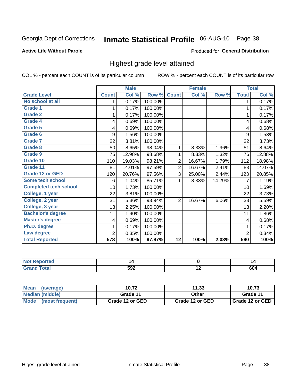# Inmate Statistical Profile 06-AUG-10 Page 38

#### **Active Life Without Parole**

#### Produced for General Distribution

### Highest grade level attained

COL % - percent each COUNT is of its particular column

|                              |                | <b>Male</b> |         |                 | <b>Female</b> |        |                | <b>Total</b> |
|------------------------------|----------------|-------------|---------|-----------------|---------------|--------|----------------|--------------|
| <b>Grade Level</b>           | <b>Count</b>   | Col %       | Row %   | <b>Count</b>    | Col %         | Row %  | <b>Total</b>   | Col %        |
| No school at all             | 1              | 0.17%       | 100.00% |                 |               |        | 1              | 0.17%        |
| <b>Grade 1</b>               | 1              | 0.17%       | 100.00% |                 |               |        | 1              | 0.17%        |
| <b>Grade 2</b>               | 1              | 0.17%       | 100.00% |                 |               |        | 1              | 0.17%        |
| Grade 4                      | 4              | 0.69%       | 100.00% |                 |               |        | 4              | 0.68%        |
| Grade 5                      | 4              | 0.69%       | 100.00% |                 |               |        | 4              | 0.68%        |
| Grade 6                      | 9              | 1.56%       | 100.00% |                 |               |        | 9              | 1.53%        |
| <b>Grade 7</b>               | 22             | 3.81%       | 100.00% |                 |               |        | 22             | 3.73%        |
| <b>Grade 8</b>               | 50             | 8.65%       | 98.04%  | 1               | 8.33%         | 1.96%  | 51             | 8.64%        |
| <b>Grade 9</b>               | 75             | 12.98%      | 98.68%  | 1               | 8.33%         | 1.32%  | 76             | 12.88%       |
| Grade 10                     | 110            | 19.03%      | 98.21%  | $\overline{2}$  | 16.67%        | 1.79%  | 112            | 18.98%       |
| Grade 11                     | 81             | 14.01%      | 97.59%  | $\overline{2}$  | 16.67%        | 2.41%  | 83             | 14.07%       |
| <b>Grade 12 or GED</b>       | 120            | 20.76%      | 97.56%  | 3               | 25.00%        | 2.44%  | 123            | 20.85%       |
| <b>Some tech school</b>      | 6              | 1.04%       | 85.71%  | 1               | 8.33%         | 14.29% | 7              | 1.19%        |
| <b>Completed tech school</b> | 10             | 1.73%       | 100.00% |                 |               |        | 10             | 1.69%        |
| College, 1 year              | 22             | 3.81%       | 100.00% |                 |               |        | 22             | 3.73%        |
| College, 2 year              | 31             | 5.36%       | 93.94%  | 2               | 16.67%        | 6.06%  | 33             | 5.59%        |
| College, 3 year              | 13             | 2.25%       | 100.00% |                 |               |        | 13             | 2.20%        |
| <b>Bachelor's degree</b>     | 11             | 1.90%       | 100.00% |                 |               |        | 11             | 1.86%        |
| <b>Master's degree</b>       | 4              | 0.69%       | 100.00% |                 |               |        | 4              | 0.68%        |
| Ph.D. degree                 | 1              | 0.17%       | 100.00% |                 |               |        | 1              | 0.17%        |
| Law degree                   | $\overline{2}$ | 0.35%       | 100.00% |                 |               |        | $\overline{2}$ | 0.34%        |
| <b>Total Reported</b>        | 578            | 100%        | 97.97%  | $\overline{12}$ | 100%          | 2.03%  | 590            | 100%         |

| <b>REDORTED</b> | 14  | L<br>. |
|-----------------|-----|--------|
| <b>ota</b>      | 592 | 604    |

| <b>Mean</b><br>(average) | 10.72           | 11.33           | 10.73             |
|--------------------------|-----------------|-----------------|-------------------|
| Median (middle)          | Grade 11        | Other           | Grade 11          |
| Mode (most frequent)     | Grade 12 or GED | Grade 12 or GED | I Grade 12 or GED |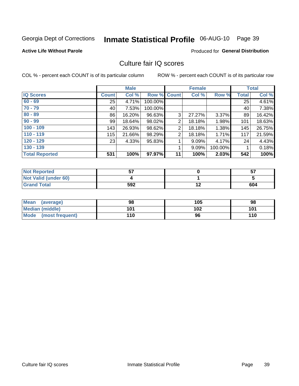# Inmate Statistical Profile 06-AUG-10 Page 39

#### **Active Life Without Parole**

#### Produced for General Distribution

### Culture fair IQ scores

COL % - percent each COUNT is of its particular column

|                       |              | <b>Male</b> |             |                | <b>Female</b> |         |              | <b>Total</b> |
|-----------------------|--------------|-------------|-------------|----------------|---------------|---------|--------------|--------------|
| <b>IQ Scores</b>      | <b>Count</b> | Col %       | Row % Count |                | Col %         | Row %   | <b>Total</b> | Col %        |
| $60 - 69$             | 25           | 4.71%       | 100.00%     |                |               |         | 25           | 4.61%        |
| $70 - 79$             | 40           | 7.53%       | 100.00%     |                |               |         | 40           | 7.38%        |
| $80 - 89$             | 86           | 16.20%      | 96.63%      | 3              | 27.27%        | 3.37%   | 89           | 16.42%       |
| $90 - 99$             | 99           | 18.64%      | 98.02%      | 2              | 18.18%        | 1.98%   | 101          | 18.63%       |
| $100 - 109$           | 143          | 26.93%      | 98.62%      | 2              | 18.18%        | 1.38%   | 145          | 26.75%       |
| $110 - 119$           | 115          | 21.66%      | 98.29%      | $\overline{2}$ | 18.18%        | 1.71%   | 117          | 21.59%       |
| $120 - 129$           | 23           | 4.33%       | 95.83%      | 4              | 9.09%         | 4.17%   | 24           | 4.43%        |
| $130 - 139$           |              |             |             | 4              | 9.09%         | 100.00% |              | 0.18%        |
| <b>Total Reported</b> | 531          | 100%        | 97.97%      | 11             | 100%          | 2.03%   | 542          | 100%         |

| <b>Not Reported</b>  | --  | ез<br>וט |
|----------------------|-----|----------|
| Not Valid (under 60) |     |          |
| <b>Grand Total</b>   | 592 | 604      |

| Mean<br>(average)    | 98  | 105 | 98  |
|----------------------|-----|-----|-----|
| Median (middle)      | 101 | 102 | 101 |
| Mode (most frequent) | 110 | 96  | 110 |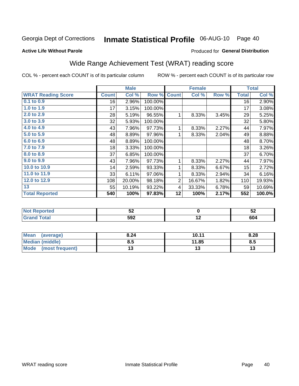#### **Inmate Statistical Profile 06-AUG-10** Page 40

#### **Active Life Without Parole**

### Produced for General Distribution

### Wide Range Achievement Test (WRAT) reading score

COL % - percent each COUNT is of its particular column

ROW % - percent each COUNT is of its particular row

 $\overline{12}$ 

|                           |              | <b>Male</b> |         |                | <b>Female</b> |       |              | <b>Total</b> |
|---------------------------|--------------|-------------|---------|----------------|---------------|-------|--------------|--------------|
| <b>WRAT Reading Score</b> | <b>Count</b> | Col %       | Row %   | <b>Count</b>   | Col %         | Row % | <b>Total</b> | Col %        |
| 0.1 to 0.9                | 16           | 2.96%       | 100.00% |                |               |       | 16           | 2.90%        |
| 1.0 to 1.9                | 17           | 3.15%       | 100.00% |                |               |       | 17           | 3.08%        |
| 2.0 to 2.9                | 28           | 5.19%       | 96.55%  | 1              | 8.33%         | 3.45% | 29           | 5.25%        |
| 3.0 to 3.9                | 32           | 5.93%       | 100.00% |                |               |       | 32           | 5.80%        |
| 4.0 to 4.9                | 43           | 7.96%       | 97.73%  | 1              | 8.33%         | 2.27% | 44           | 7.97%        |
| 5.0 to 5.9                | 48           | 8.89%       | 97.96%  | 1              | 8.33%         | 2.04% | 49           | 8.88%        |
| 6.0 to 6.9                | 48           | 8.89%       | 100.00% |                |               |       | 48           | 8.70%        |
| 7.0 to 7.9                | 18           | 3.33%       | 100.00% |                |               |       | 18           | 3.26%        |
| 8.0 to 8.9                | 37           | 6.85%       | 100.00% |                |               |       | 37           | 6.70%        |
| 9.0 to 9.9                | 43           | 7.96%       | 97.73%  | 1              | 8.33%         | 2.27% | 44           | 7.97%        |
| 10.0 to 10.9              | 14           | 2.59%       | 93.33%  | 1              | 8.33%         | 6.67% | 15           | 2.72%        |
| 11.0 to 11.9              | 33           | 6.11%       | 97.06%  | 1              | 8.33%         | 2.94% | 34           | 6.16%        |
| 12.0 to 12.9              | 108          | 20.00%      | 98.18%  | $\overline{2}$ | 16.67%        | 1.82% | 110          | 19.93%       |
| 13                        | 55           | 10.19%      | 93.22%  | 4              | 33.33%        | 6.78% | 59           | 10.69%       |
| <b>Total Reported</b>     | 540          | 100%        | 97.83%  | 12             | 100%          | 2.17% | 552          | 100.0%       |
|                           |              |             |         |                |               |       |              |              |
| <b>Not Reported</b>       |              | 52          |         |                | $\bf{0}$      |       |              | 52           |

| Mean (average)         | 8.24 | 10.11 | 8.28 |
|------------------------|------|-------|------|
| <b>Median (middle)</b> | 8.5  | 11.85 | 6.J  |
| Mode (most frequent)   |      |       | w    |

 $592$ 

**Grand Total** 

 $604$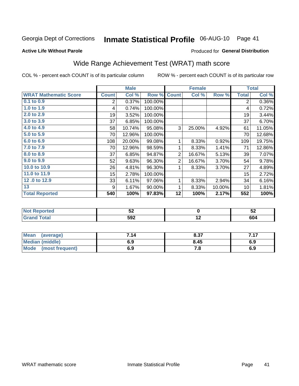#### Inmate Statistical Profile 06-AUG-10 Page 41

**Active Life Without Parole** 

#### Produced for General Distribution

### Wide Range Achievement Test (WRAT) math score

COL % - percent each COUNT is of its particular column

ROW % - percent each COUNT is of its particular row

 $\overline{12}$ 

|                              |              | <b>Male</b> |         |                | <b>Female</b> |        |                | <b>Total</b> |
|------------------------------|--------------|-------------|---------|----------------|---------------|--------|----------------|--------------|
| <b>WRAT Mathematic Score</b> | <b>Count</b> | Col %       | Row %   | <b>Count</b>   | Col %         | Row %  | <b>Total</b>   | Col %        |
| 0.1 to 0.9                   | 2            | 0.37%       | 100.00% |                |               |        | $\overline{2}$ | 0.36%        |
| 1.0 to 1.9                   | 4            | 0.74%       | 100.00% |                |               |        | 4              | 0.72%        |
| 2.0 to 2.9                   | 19           | 3.52%       | 100.00% |                |               |        | 19             | 3.44%        |
| 3.0 to 3.9                   | 37           | 6.85%       | 100.00% |                |               |        | 37             | 6.70%        |
| 4.0 to 4.9                   | 58           | 10.74%      | 95.08%  | 3              | 25.00%        | 4.92%  | 61             | 11.05%       |
| 5.0 to 5.9                   | 70           | 12.96%      | 100.00% |                |               |        | 70             | 12.68%       |
| 6.0 to 6.9                   | 108          | 20.00%      | 99.08%  | 1              | 8.33%         | 0.92%  | 109            | 19.75%       |
| 7.0 to 7.9                   | 70           | 12.96%      | 98.59%  | 1              | 8.33%         | 1.41%  | 71             | 12.86%       |
| 8.0 to 8.9                   | 37           | 6.85%       | 94.87%  | $\overline{2}$ | 16.67%        | 5.13%  | 39             | 7.07%        |
| 9.0 to 9.9                   | 52           | 9.63%       | 96.30%  | $\overline{2}$ | 16.67%        | 3.70%  | 54             | 9.78%        |
| 10.0 to 10.9                 | 26           | 4.81%       | 96.30%  | 1              | 8.33%         | 3.70%  | 27             | 4.89%        |
| 11.0 to 11.9                 | 15           | 2.78%       | 100.00% |                |               |        | 15             | 2.72%        |
| 12.0 to 12.9                 | 33           | 6.11%       | 97.06%  | 1              | 8.33%         | 2.94%  | 34             | 6.16%        |
| 13                           | 9            | 1.67%       | 90.00%  | 1              | 8.33%         | 10.00% | 10             | 1.81%        |
| <b>Total Reported</b>        | 540          | 100%        | 97.83%  | 12             | 100%          | 2.17%  | 552            | 100%         |
|                              |              |             |         |                |               |        |                |              |
| <b>Not Reported</b>          |              | 52          |         |                | $\mathbf 0$   |        |                | 52           |

| Mean<br>(average)       | 7.14 | 8.37 | 7.17 |
|-------------------------|------|------|------|
| Median (middle)         | 6.9  | 8.45 | 6.9  |
| Mode<br>(most frequent) | 6.9  | 7.8  | 6.9  |

 $592$ 

**Grand Total** 

 $604$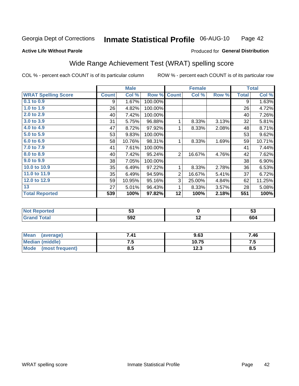#### Inmate Statistical Profile 06-AUG-10 Page 42

#### **Active Life Without Parole**

#### Produced for General Distribution

## Wide Range Achievement Test (WRAT) spelling score

COL % - percent each COUNT is of its particular column

|                            |              | <b>Male</b> |         |                | <b>Female</b>   |       |              | <b>Total</b> |
|----------------------------|--------------|-------------|---------|----------------|-----------------|-------|--------------|--------------|
| <b>WRAT Spelling Score</b> | <b>Count</b> | Col %       | Row %   | <b>Count</b>   | Col %           | Row % | <b>Total</b> | Col %        |
| $0.1$ to $0.9$             | 9            | 1.67%       | 100.00% |                |                 |       | 9            | 1.63%        |
| 1.0 to $1.9$               | 26           | 4.82%       | 100.00% |                |                 |       | 26           | 4.72%        |
| 2.0 to 2.9                 | 40           | 7.42%       | 100.00% |                |                 |       | 40           | 7.26%        |
| 3.0 to 3.9                 | 31           | 5.75%       | 96.88%  | 1              | 8.33%           | 3.13% | 32           | 5.81%        |
| 4.0 to 4.9                 | 47           | 8.72%       | 97.92%  | 1              | 8.33%           | 2.08% | 48           | 8.71%        |
| 5.0 to 5.9                 | 53           | 9.83%       | 100.00% |                |                 |       | 53           | 9.62%        |
| 6.0 to 6.9                 | 58           | 10.76%      | 98.31%  | 1              | 8.33%           | 1.69% | 59           | 10.71%       |
| 7.0 to 7.9                 | 41           | 7.61%       | 100.00% |                |                 |       | 41           | 7.44%        |
| 8.0 to 8.9                 | 40           | 7.42%       | 95.24%  | $\overline{2}$ | 16.67%          | 4.76% | 42           | 7.62%        |
| 9.0 to 9.9                 | 38           | 7.05%       | 100.00% |                |                 |       | 38           | 6.90%        |
| 10.0 to 10.9               | 35           | 6.49%       | 97.22%  | 1              | 8.33%           | 2.78% | 36           | 6.53%        |
| 11.0 to 11.9               | 35           | 6.49%       | 94.59%  | $\mathbf 2$    | 16.67%          | 5.41% | 37           | 6.72%        |
| 12.0 to 12.9               | 59           | 10.95%      | 95.16%  | 3              | 25.00%          | 4.84% | 62           | 11.25%       |
| 13                         | 27           | 5.01%       | 96.43%  | 1              | 8.33%           | 3.57% | 28           | 5.08%        |
| <b>Total Reported</b>      | 539          | 100%        | 97.82%  | 12             | 100%            | 2.18% | 551          | 100%         |
|                            |              |             |         |                |                 |       |              |              |
| <b>Not Reported</b>        |              | 53          |         |                | $\mathbf 0$     |       |              | 53           |
| <b>Grand Total</b>         |              | 592         |         |                | $\overline{12}$ |       |              | 604          |
|                            |              |             |         |                |                 |       |              |              |

| <b>Mean</b><br>(average)       | 7.41 | 9.63  | 7.46 |
|--------------------------------|------|-------|------|
| <b>Median (middle)</b>         | ن. ا | 10.75 | 7.J  |
| <b>Mode</b><br>(most frequent) | ช.อ  | 12.3  | ช.ว  |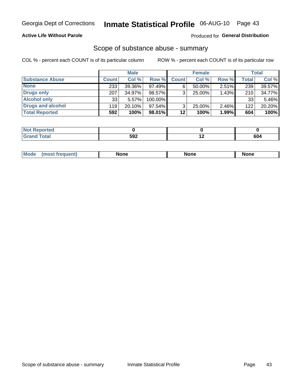#### **Active Life Without Parole**

### **Produced for General Distribution**

### Scope of substance abuse - summary

COL % - percent each COUNT is of its particular column

|                        |              | <b>Male</b> |           |              | <b>Female</b> |          |              | <b>Total</b> |
|------------------------|--------------|-------------|-----------|--------------|---------------|----------|--------------|--------------|
| <b>Substance Abuse</b> | <b>Count</b> | Col %       | Row %     | <b>Count</b> | Col %         | Row %    | <b>Total</b> | Col %        |
| <b>None</b>            | 233          | 39.36%      | 97.49%    |              | $50.00\%$     | $2.51\%$ | 239          | 39.57%       |
| <b>Drugs only</b>      | 207          | 34.97%      | 98.57%    |              | 25.00%        | 1.43%    | 210          | 34.77%       |
| <b>Alcohol only</b>    | 33           | 5.57%       | 100.00%   |              |               |          | 33           | 5.46%        |
| Drugs and alcohol      | 119          | $20.10\%$   | $97.54\%$ |              | $25.00\%$     | $2.46\%$ | 122          | 20.20%       |
| <b>Total Reported</b>  | 592          | 100%        | 98.01%    | 12           | 100%          | 1.99%    | 604          | 100%         |

| <b>Not Reported</b> |     |     |
|---------------------|-----|-----|
| <b>Grand Total</b>  | 592 | 604 |

| <b>Mod</b><br>'one<br>None<br><b>None</b> |
|-------------------------------------------|
|-------------------------------------------|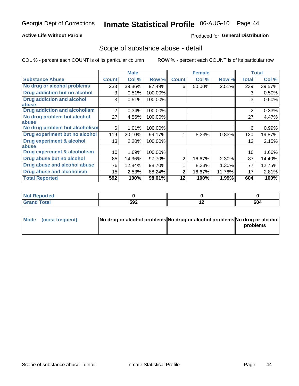#### **Active Life Without Parole**

#### Produced for General Distribution

### Scope of substance abuse - detail

COL % - percent each COUNT is of its particular column

|                                         |              | <b>Male</b> |         |              | <b>Female</b> |        |                | <b>Total</b> |
|-----------------------------------------|--------------|-------------|---------|--------------|---------------|--------|----------------|--------------|
| <b>Substance Abuse</b>                  | <b>Count</b> | Col %       | Row %   | <b>Count</b> | Col %         | Row %  | <b>Total</b>   | Col %        |
| No drug or alcohol problems             | 233          | 39.36%      | 97.49%  | 6            | 50.00%        | 2.51%  | 239            | 39.57%       |
| Drug addiction but no alcohol           | 3            | 0.51%       | 100.00% |              |               |        | 3              | 0.50%        |
| <b>Drug addiction and alcohol</b>       | 3            | 0.51%       | 100.00% |              |               |        | 3              | 0.50%        |
| abuse                                   |              |             |         |              |               |        |                |              |
| <b>Drug addiction and alcoholism</b>    | 2            | 0.34%       | 100.00% |              |               |        | $\overline{2}$ | 0.33%        |
| No drug problem but alcohol             | 27           | 4.56%       | 100.00% |              |               |        | 27             | 4.47%        |
| abuse                                   |              |             |         |              |               |        |                |              |
| No drug problem but alcoholism          | 6            | 1.01%       | 100.00% |              |               |        | 6              | 0.99%        |
| Drug experiment but no alcohol          | 119          | 20.10%      | 99.17%  |              | 8.33%         | 0.83%  | 120            | 19.87%       |
| <b>Drug experiment &amp; alcohol</b>    | 13           | 2.20%       | 100.00% |              |               |        | 13             | 2.15%        |
| abuse                                   |              |             |         |              |               |        |                |              |
| <b>Drug experiment &amp; alcoholism</b> | 10           | 1.69%       | 100.00% |              |               |        | 10             | 1.66%        |
| Drug abuse but no alcohol               | 85           | 14.36%      | 97.70%  | 2            | 16.67%        | 2.30%  | 87             | 14.40%       |
| Drug abuse and alcohol abuse            | 76           | 12.84%      | 98.70%  |              | 8.33%         | 1.30%  | 77             | 12.75%       |
| <b>Drug abuse and alcoholism</b>        | 15           | 2.53%       | 88.24%  | 2            | 16.67%        | 11.76% | 17             | 2.81%        |
| <b>Total Reported</b>                   | 592          | 100%        | 98.01%  | 12           | 100%          | 1.99%  | 604            | 100%         |

| ported<br><b>NOT</b> |     |                          |     |
|----------------------|-----|--------------------------|-----|
| $\sim$<br>_____      | 592 | $\overline{\phantom{0}}$ | 604 |

| Mode (most frequent) | No drug or alcohol problems No drug or alcohol problems No drug or alcohol |          |
|----------------------|----------------------------------------------------------------------------|----------|
|                      |                                                                            | problems |
|                      |                                                                            |          |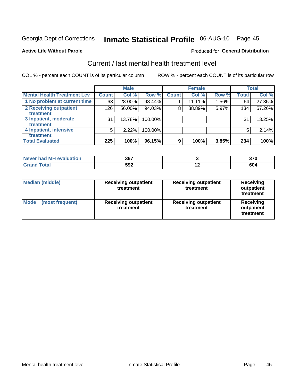# Inmate Statistical Profile 06-AUG-10 Page 45

#### **Active Life Without Parole**

#### Produced for General Distribution

## Current / last mental health treatment level

COL % - percent each COUNT is of its particular column

|                                    |              | <b>Male</b> |         |              | <b>Female</b> |       |              | <b>Total</b> |
|------------------------------------|--------------|-------------|---------|--------------|---------------|-------|--------------|--------------|
| <b>Mental Health Treatment Lev</b> | <b>Count</b> | Col %       | Row %   | <b>Count</b> | Col %         | Row % | <b>Total</b> | Col %        |
| 1 No problem at current time       | 63           | 28.00%      | 98.44%  |              | 11.11%        | 1.56% | 64           | 27.35%       |
| 2 Receiving outpatient             | 126          | 56.00%      | 94.03%  | 8            | 88.89%        | 5.97% | 134          | 57.26%       |
| <b>Treatment</b>                   |              |             |         |              |               |       |              |              |
| 3 Inpatient, moderate              | 31           | 13.78%      | 100.00% |              |               |       | 31           | 13.25%       |
| <b>Treatment</b>                   |              |             |         |              |               |       |              |              |
| 4 Inpatient, intensive             | 5            | 2.22%       | 100.00% |              |               |       | 5            | 2.14%        |
| <b>Treatment</b>                   |              |             |         |              |               |       |              |              |
| <b>Total Evaluated</b>             | 225          | 100%        | 96.15%  | 9            | 100%          | 3.85% | 234          | 100%         |

| Never had MH evaluation | 367 | 270<br><b>JIL</b> |
|-------------------------|-----|-------------------|
| Total                   | 592 | 604               |

| <b>Median (middle)</b>         | <b>Receiving outpatient</b><br>treatment | <b>Receiving outpatient</b><br>treatment | <b>Receiving</b><br>outpatient<br>treatment |  |
|--------------------------------|------------------------------------------|------------------------------------------|---------------------------------------------|--|
| <b>Mode</b><br>(most frequent) | <b>Receiving outpatient</b><br>treatment | <b>Receiving outpatient</b><br>treatment | <b>Receiving</b><br>outpatient<br>treatment |  |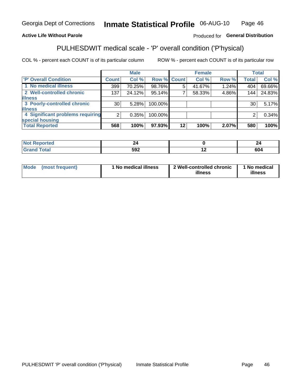#### Inmate Statistical Profile 06-AUG-10 Page 46

#### **Active Life Without Parole**

#### Produced for General Distribution

## PULHESDWIT medical scale - 'P' overall condition ('P'hysical)

COL % - percent each COUNT is of its particular column

|                                  |                 | <b>Male</b> |         |             | <b>Female</b> |       |              | <b>Total</b> |
|----------------------------------|-----------------|-------------|---------|-------------|---------------|-------|--------------|--------------|
| 'P' Overall Condition            | Count l         | Col %       |         | Row % Count | Col %         | Row % | <b>Total</b> | Col %        |
| 1 No medical illness             | 399             | 70.25%      | 98.76%  | 5           | 41.67%        | 1.24% | 404          | 69.66%       |
| 2 Well-controlled chronic        | 137             | 24.12%      | 95.14%  |             | 58.33%        | 4.86% | 144          | 24.83%       |
| <b>illness</b>                   |                 |             |         |             |               |       |              |              |
| 3 Poorly-controlled chronic      | 30 <sub>1</sub> | 5.28%       | 100.00% |             |               |       | 30           | 5.17%        |
| <b>illness</b>                   |                 |             |         |             |               |       |              |              |
| 4 Significant problems requiring | 2               | 0.35%       | 100.00% |             |               |       | 2            | 0.34%        |
| special housing                  |                 |             |         |             |               |       |              |              |
| <b>Total Reported</b>            | 568             | 100%        | 97.93%  | $12 \,$     | 100%          | 2.07% | 580          | 100%         |

|                          |     | -        |
|--------------------------|-----|----------|
| <b>END</b><br>∸י<br>$ -$ | . . | .<br>604 |

| <b>Mode</b> | (most frequent) | 1 No medical illness | 2 Well-controlled chronic<br>illness | 1 No medical<br>illness |
|-------------|-----------------|----------------------|--------------------------------------|-------------------------|
|-------------|-----------------|----------------------|--------------------------------------|-------------------------|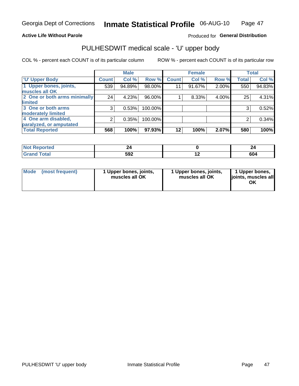#### **Active Life Without Parole**

#### Produced for General Distribution

# PULHESDWIT medical scale - 'U' upper body

COL % - percent each COUNT is of its particular column

|                              |                | <b>Male</b> |         |              | <b>Female</b> |       |              | <b>Total</b> |
|------------------------------|----------------|-------------|---------|--------------|---------------|-------|--------------|--------------|
| <b>'U' Upper Body</b>        | <b>Count</b>   | Col %       | Row %   | <b>Count</b> | Col %         | Row % | <b>Total</b> | Col %        |
| 1 Upper bones, joints,       | 539            | 94.89%      | 98.00%  | 11           | 91.67%        | 2.00% | 550          | 94.83%       |
| muscles all OK               |                |             |         |              |               |       |              |              |
| 2 One or both arms minimally | 24             | 4.23%       | 96.00%  |              | 8.33%         | 4.00% | 25           | 4.31%        |
| <b>limited</b>               |                |             |         |              |               |       |              |              |
| 3 One or both arms           | 3              | 0.53%       | 100.00% |              |               |       | 3            | 0.52%        |
| <b>moderately limited</b>    |                |             |         |              |               |       |              |              |
| 4 One arm disabled,          | $\overline{2}$ | 0.35%       | 100.00% |              |               |       | 2            | 0.34%        |
| paralyzed, or amputated      |                |             |         |              |               |       |              |              |
| <b>Total Reported</b>        | 568            | 100%        | 97.93%  | $12 \,$      | 100%          | 2.07% | 580          | 100%         |

| <b>Not Reported</b>      |     | --  |
|--------------------------|-----|-----|
| <b>Total</b><br>ا الله ا | 592 | 604 |

| Mode | (most frequent) | 1 Upper bones, joints,<br>muscles all OK | 1 Upper bones, joints,<br>muscles all OK | 1 Upper bones,<br>ljoints, muscles all<br>ΟK |
|------|-----------------|------------------------------------------|------------------------------------------|----------------------------------------------|
|------|-----------------|------------------------------------------|------------------------------------------|----------------------------------------------|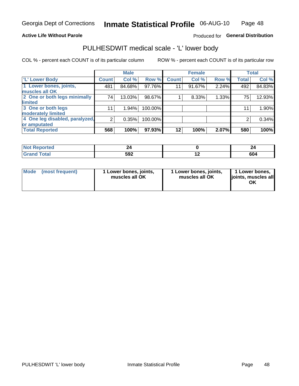#### **Active Life Without Parole**

### Produced for General Distribution

### PULHESDWIT medical scale - 'L' lower body

COL % - percent each COUNT is of its particular column

|                                |                | <b>Male</b> |         |              | <b>Female</b> |       |              | <b>Total</b> |
|--------------------------------|----------------|-------------|---------|--------------|---------------|-------|--------------|--------------|
| 'L' Lower Body                 | <b>Count</b>   | Col %       | Row %   | <b>Count</b> | Col %         | Row % | <b>Total</b> | Col %        |
| 1 Lower bones, joints,         | 481            | 84.68%      | 97.76%  | 11           | 91.67%        | 2.24% | 492          | 84.83%       |
| muscles all OK                 |                |             |         |              |               |       |              |              |
| 2 One or both legs minimally   | 74             | 13.03%      | 98.67%  |              | 8.33%         | 1.33% | 75           | 12.93%       |
| limited                        |                |             |         |              |               |       |              |              |
| 3 One or both legs             | 11             | 1.94%       | 100.00% |              |               |       | 11           | 1.90%        |
| moderately limited             |                |             |         |              |               |       |              |              |
| 4 One leg disabled, paralyzed, | $\overline{2}$ | 0.35%       | 100.00% |              |               |       | 2            | 0.34%        |
| or amputated                   |                |             |         |              |               |       |              |              |
| <b>Total Reported</b>          | 568            | 100%        | 97.93%  | $12 \,$      | 100%          | 2.07% | 580          | 100%         |

| prtea<br>NOT F<br>$\cdots$ |            |     |     |
|----------------------------|------------|-----|-----|
| <b>Total</b><br>------     | ちロク<br>◡◡▴ | . . | 604 |

| Mode | (most frequent) | 1 Lower bones, joints,<br>muscles all OK | 1 Lower bones, joints,<br>muscles all OK | 1 Lower bones,<br>ljoints, muscles all<br>OK |
|------|-----------------|------------------------------------------|------------------------------------------|----------------------------------------------|
|------|-----------------|------------------------------------------|------------------------------------------|----------------------------------------------|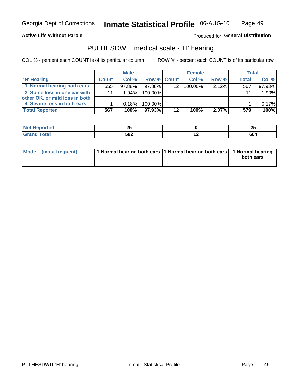**Active Life Without Parole** 

Produced for General Distribution

### PULHESDWIT medical scale - 'H' hearing

COL % - percent each COUNT is of its particular column

|                                |              | <b>Male</b> |                    |         | <b>Female</b> |          | <b>Total</b> |        |
|--------------------------------|--------------|-------------|--------------------|---------|---------------|----------|--------------|--------|
| <b>H' Hearing</b>              | <b>Count</b> | Col %       | <b>Row % Count</b> |         | Col %         | Row %    | Total        | Col %  |
| 1 Normal hearing both ears     | 555          | $97.88\%$   | 97.88%             | 12      | 100.00%       | $2.12\%$ | 567          | 97.93% |
| 2 Some loss in one ear with    | 11           | 1.94%       | 100.00%            |         |               |          | 11           | 1.90%  |
| other OK, or mild loss in both |              |             |                    |         |               |          |              |        |
| 4 Severe loss in both ears     |              | 0.18%       | 100.00%            |         |               |          |              | 0.17%  |
| <b>Total Reported</b>          | 567          | 100%        | $97.93\%$          | $12 \,$ | 100%          | $2.07\%$ | 579          | 100%   |

| æ | --<br>Δv   | --<br>ΔJ |
|---|------------|----------|
|   | ちロク<br>JJŁ | 604      |

| Mode (most frequent) | 1 Normal hearing both ears 11 Normal hearing both ears 1 Normal hearing |           |
|----------------------|-------------------------------------------------------------------------|-----------|
|                      |                                                                         | both ears |
|                      |                                                                         |           |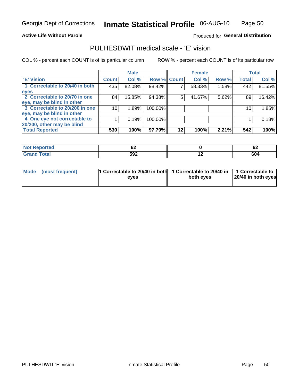#### **Active Life Without Parole**

#### Produced for General Distribution

### PULHESDWIT medical scale - 'E' vision

COL % - percent each COUNT is of its particular column

|                                |              | <b>Male</b> |           |             | <b>Female</b> |       |              | <b>Total</b> |
|--------------------------------|--------------|-------------|-----------|-------------|---------------|-------|--------------|--------------|
| <b>E' Vision</b>               | <b>Count</b> | Col %       |           | Row % Count | Col %         | Row % | <b>Total</b> | Col %        |
| 1 Correctable to 20/40 in both | 435          | 82.08%      | 98.42%    |             | 58.33%        | 1.58% | 442          | 81.55%       |
| eyes                           |              |             |           |             |               |       |              |              |
| 2 Correctable to 20/70 in one  | 84           | 15.85%      | 94.38%    | 5           | 41.67%        | 5.62% | 89           | 16.42%       |
| eye, may be blind in other     |              |             |           |             |               |       |              |              |
| 3 Correctable to 20/200 in one | 10           | 1.89%       | 100.00%   |             |               |       | 10           | 1.85%        |
| eye, may be blind in other     |              |             |           |             |               |       |              |              |
| 4 One eye not correctable to   |              | 0.19%       | 100.00%   |             |               |       |              | 0.18%        |
| 20/200, other may be blind     |              |             |           |             |               |       |              |              |
| <b>Total Reported</b>          | 530          | 100%        | $97.79\%$ | 12          | 100%          | 2.21% | 542          | 100%         |

| orted<br><b>NOT REDO</b><br>$\sim$ | ν∠  |     | <br>V4 |
|------------------------------------|-----|-----|--------|
| <b>Total</b>                       | 592 | . . | 604    |

| Mode (most frequent) | <sup>1</sup> Correctable to 20/40 in both 1 Correctable to 20/40 in 1 Correctable to<br>eves | both eyes | 20/40 in both eyes |
|----------------------|----------------------------------------------------------------------------------------------|-----------|--------------------|
|                      |                                                                                              |           |                    |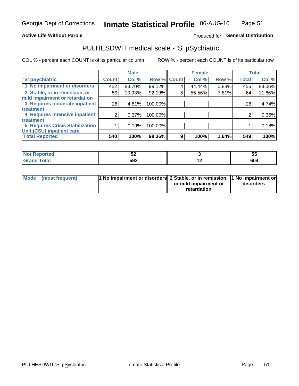#### **Active Life Without Parole**

### Produced for General Distribution

## PULHESDWIT medical scale - 'S' pSychiatric

COL % - percent each COUNT is of its particular column

|                                        |              | <b>Male</b> |         |             | <b>Female</b> |       |              | <b>Total</b> |
|----------------------------------------|--------------|-------------|---------|-------------|---------------|-------|--------------|--------------|
| 'S' pSychiatric                        | <b>Count</b> | Col %       |         | Row % Count | Col %         | Row % | <b>Total</b> | Col %        |
| 1 No impairment or disorders           | 452          | 83.70%      | 99.12%  | 4           | 44.44%        | 0.88% | 456          | 83.06%       |
| 2 Stable, or in remission, or          | 59           | 10.93%      | 92.19%  | 5           | 55.56%        | 7.81% | 64           | 11.66%       |
| mild impairment or retardation         |              |             |         |             |               |       |              |              |
| 3 Requires moderate inpatient          | 26           | 4.81%       | 100.00% |             |               |       | 26           | 4.74%        |
| <b>treatment</b>                       |              |             |         |             |               |       |              |              |
| 4 Requires intensive inpatient         | 2            | 0.37%       | 100.00% |             |               |       | 2            | 0.36%        |
| treatment                              |              |             |         |             |               |       |              |              |
| <b>5 Requires Crisis Stabilization</b> |              | 0.19%       | 100.00% |             |               |       |              | 0.18%        |
| Unit (CSU) inpatient care              |              |             |         |             |               |       |              |              |
| <b>Total Reported</b>                  | 540          | 100%        | 98.36%  | 9           | 100%          | 1.64% | 549          | 100%         |

| <b>Not Reported</b> | ◡▵  |     | ◡   |
|---------------------|-----|-----|-----|
| <b>Total</b>        | 592 | . . | 604 |

| Mode | (most frequent) | <b>1 No impairment or disorders</b> 2 Stable, or in remission, 1 No impairment or |                       |           |
|------|-----------------|-----------------------------------------------------------------------------------|-----------------------|-----------|
|      |                 |                                                                                   | or mild impairment or | disorders |
|      |                 |                                                                                   | retardation           |           |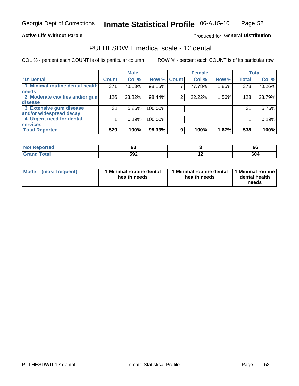#### **Active Life Without Parole**

#### Produced for General Distribution

### PULHESDWIT medical scale - 'D' dental

COL % - percent each COUNT is of its particular column

|                                 |                    | <b>Male</b> |         |             | <b>Female</b> |       |              | <b>Total</b> |
|---------------------------------|--------------------|-------------|---------|-------------|---------------|-------|--------------|--------------|
| <b>D'</b> Dental                | Count <sup>1</sup> | Col %       |         | Row % Count | Col %         | Row % | <b>Total</b> | Col %        |
| 1 Minimal routine dental health | 371                | 70.13%      | 98.15%  |             | 77.78%        | 1.85% | 378          | 70.26%       |
| <b>needs</b>                    |                    |             |         |             |               |       |              |              |
| 2 Moderate cavities and/or gum  | 126                | 23.82%      | 98.44%  | 2           | 22.22%        | 1.56% | 128          | 23.79%       |
| disease                         |                    |             |         |             |               |       |              |              |
| 3 Extensive gum disease         | 31                 | $5.86\%$    | 100.00% |             |               |       | 31           | 5.76%        |
| and/or widespread decay         |                    |             |         |             |               |       |              |              |
| 4 Urgent need for dental        |                    | 0.19%       | 100.00% |             |               |       |              | 0.19%        |
| <b>services</b>                 |                    |             |         |             |               |       |              |              |
| <b>Total Reported</b>           | 529                | 100%        | 98.33%  | 9           | 100%          | 1.67% | 538          | 100%         |

| orted<br><b>NOT REPO</b><br>$\sim$ | $\overline{ }$<br>o. |     | 66  |
|------------------------------------|----------------------|-----|-----|
| Total                              | 592                  | . . | 604 |

| <b>Mode</b> | (most frequent) | <b>Minimal routine dental</b><br>health needs | 1 Minimal routine dental<br>health needs | <b>11 Minimal routine I</b><br>dental health<br>needs |
|-------------|-----------------|-----------------------------------------------|------------------------------------------|-------------------------------------------------------|
|-------------|-----------------|-----------------------------------------------|------------------------------------------|-------------------------------------------------------|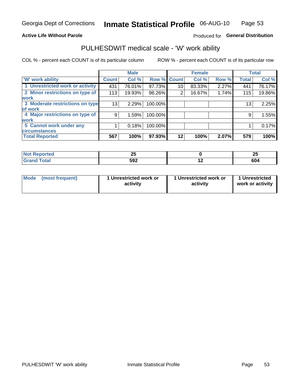#### **Active Life Without Parole**

### Produced for General Distribution

### PULHESDWIT medical scale - 'W' work ability

COL % - percent each COUNT is of its particular column

|                                 |              | <b>Male</b> |         |             | <b>Female</b> |       |              | <b>Total</b> |
|---------------------------------|--------------|-------------|---------|-------------|---------------|-------|--------------|--------------|
| <b>W' work ability</b>          | <b>Count</b> | Col %       |         | Row % Count | Col %         | Row % | <b>Total</b> | Col %        |
| 1 Unrestricted work or activity | 431          | 76.01%      | 97.73%  | 10          | 83.33%        | 2.27% | 441          | 76.17%       |
| 2 Minor restrictions on type of | 113          | 19.93%      | 98.26%  | 2           | 16.67%        | 1.74% | 115          | 19.86%       |
| <b>work</b>                     |              |             |         |             |               |       |              |              |
| 3 Moderate restrictions on type | 13           | 2.29%       | 100.00% |             |               |       | 13           | 2.25%        |
| lof work                        |              |             |         |             |               |       |              |              |
| 4 Major restrictions on type of | 9            | 1.59%       | 100.00% |             |               |       | 9            | 1.55%        |
| <b>work</b>                     |              |             |         |             |               |       |              |              |
| 5 Cannot work under any         |              | 0.18%       | 100.00% |             |               |       |              | 0.17%        |
| <b>circumstances</b>            |              |             |         |             |               |       |              |              |
| <b>Total Reported</b>           | 567          | 100%        | 97.93%  | 12          | 100%          | 2.07% | 579          | 100%         |

| <b>Not Reported</b> | - -<br>-- |     | OF.<br>-- |
|---------------------|-----------|-----|-----------|
| <b>Grand Total</b>  | 592       | . . | 604       |

| <b>Mode</b> | (most frequent) | 1 Unrestricted work or<br>activity | 1 Unrestricted work or<br>activity | 1 Unrestricted<br>work or activity |
|-------------|-----------------|------------------------------------|------------------------------------|------------------------------------|
|-------------|-----------------|------------------------------------|------------------------------------|------------------------------------|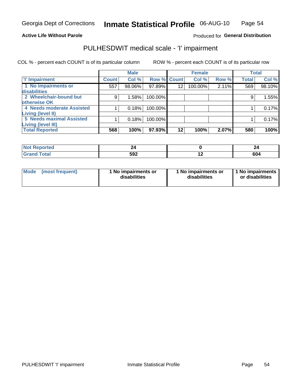#### **Active Life Without Parole**

#### Produced for General Distribution

## PULHESDWIT medical scale - 'I' impairment

COL % - percent each COUNT is of its particular column ROW % - percent each COUNT is of its particular row

|                           |              | <b>Male</b> |             |         | <b>Female</b> |       |              | <b>Total</b> |
|---------------------------|--------------|-------------|-------------|---------|---------------|-------|--------------|--------------|
| <b>T' Impairment</b>      | <b>Count</b> | Col %       | Row % Count |         | Col %         | Row % | <b>Total</b> | Col %        |
| 1 No impairments or       | 557          | 98.06%      | 97.89%      | 12      | 100.00%       | 2.11% | 569          | 98.10%       |
| disabilities              |              |             |             |         |               |       |              |              |
| 2 Wheelchair-bound but    | 9            | 1.58%       | 100.00%     |         |               |       | 9            | 1.55%        |
| otherwise OK              |              |             |             |         |               |       |              |              |
| 4 Needs moderate Assisted |              | 0.18%       | 100.00%     |         |               |       |              | 0.17%        |
| Living (level II)         |              |             |             |         |               |       |              |              |
| 5 Needs maximal Assisted  |              | 0.18%       | 100.00%     |         |               |       |              | 0.17%        |
| <b>Living (level III)</b> |              |             |             |         |               |       |              |              |
| <b>Total Reported</b>     | 568          | 100%        | 97.93%      | $12 \,$ | 100%          | 2.07% | 580          | 100%         |

| orted.       |     |     |            |
|--------------|-----|-----|------------|
| <b>Total</b> | 592 | . . | cΛ.<br>טטי |

| Mode | (most frequent) | 1 No impairments or<br>disabilities | 1 No impairments or<br>disabilities | 1 No impairments  <br>or disabilities |
|------|-----------------|-------------------------------------|-------------------------------------|---------------------------------------|
|------|-----------------|-------------------------------------|-------------------------------------|---------------------------------------|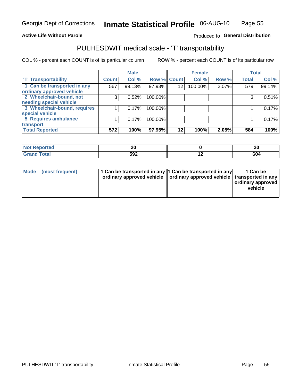#### **Active Life Without Parole**

### Produced fo General Distribution

## PULHESDWIT medical scale - 'T' transportability

COL % - percent each COUNT is of its particular column

|                              |              | <b>Male</b> |             |                 | <b>Female</b> |       |              | <b>Total</b> |
|------------------------------|--------------|-------------|-------------|-----------------|---------------|-------|--------------|--------------|
| <b>T' Transportability</b>   | <b>Count</b> | Col %       | Row % Count |                 | Col %         | Row % | <b>Total</b> | Col %        |
| 1 Can be transported in any  | 567          | 99.13%      | 97.93%      | 12              | 100.00%       | 2.07% | 579          | 99.14%       |
| ordinary approved vehicle    |              |             |             |                 |               |       |              |              |
| 2 Wheelchair-bound, not      | 3            | 0.52%       | 100.00%     |                 |               |       |              | 0.51%        |
| needing special vehicle      |              |             |             |                 |               |       |              |              |
| 3 Wheelchair-bound, requires |              | 0.17%       | 100.00%     |                 |               |       |              | 0.17%        |
| special vehicle              |              |             |             |                 |               |       |              |              |
| 5 Requires ambulance         |              | 0.17%       | 100.00%     |                 |               |       |              | 0.17%        |
| transport                    |              |             |             |                 |               |       |              |              |
| <b>Total Reported</b>        | 572          | 100%        | 97.95%      | 12 <sub>1</sub> | 100%          | 2.05% | 584          | 100%         |

| N   | ົ   |     | ה ה              |
|-----|-----|-----|------------------|
| тео | ZU  |     | ZU               |
|     | 592 | . . | c0<br><b>004</b> |

| <b>Mode</b> | (most frequent) | 1 Can be transported in any 1 Can be transported in any | ordinary approved vehicle   ordinary approved vehicle   transported in any | 1 Can be<br>  ordinary approved  <br>vehicle |
|-------------|-----------------|---------------------------------------------------------|----------------------------------------------------------------------------|----------------------------------------------|
|-------------|-----------------|---------------------------------------------------------|----------------------------------------------------------------------------|----------------------------------------------|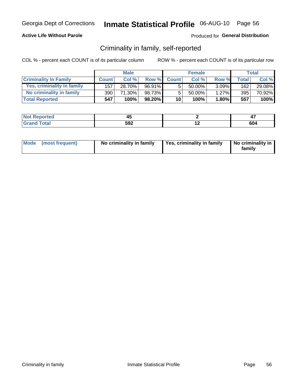#### **Active Life Without Parole**

#### Produced for General Distribution

### Criminality in family, self-reported

COL % - percent each COUNT is of its particular column

|                              |              | <b>Male</b> |           |                 | <b>Female</b> |          |       | Total  |
|------------------------------|--------------|-------------|-----------|-----------------|---------------|----------|-------|--------|
| <b>Criminality In Family</b> | <b>Count</b> | Col %       | Row %     | <b>Count</b>    | Col %         | Row %    | Total | Col %  |
| Yes, criminality in family   | 157          | 28.70%      | 96.91%    | 5               | 50.00%        | $3.09\%$ | 162   | 29.08% |
| No criminality in family     | 390          | 71.30%      | 98.73%    | 5               | $50.00\%$     | 1.27%    | 395   | 70.92% |
| <b>Total Reported</b>        | 547          | 100%        | $98.20\%$ | 10 <sup>1</sup> | 100%          | $1.80\%$ | 557   | 100%   |

| اد د الس<br>≺eported<br><b>NOT</b> | т.  |     | $\overline{\phantom{0}}$<br>- 1 |
|------------------------------------|-----|-----|---------------------------------|
| <b>otal</b>                        | 592 | . . | 604                             |

|  | Mode (most frequent) | No criminality in family | Yes, criminality in family | No criminality in<br>family |
|--|----------------------|--------------------------|----------------------------|-----------------------------|
|--|----------------------|--------------------------|----------------------------|-----------------------------|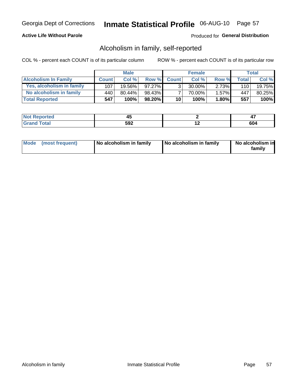#### **Active Life Without Parole**

#### Produced for General Distribution

### Alcoholism in family, self-reported

COL % - percent each COUNT is of its particular column

|                             |              | <b>Male</b> |           |                 | <b>Female</b> |          |       | Total   |
|-----------------------------|--------------|-------------|-----------|-----------------|---------------|----------|-------|---------|
| <b>Alcoholism In Family</b> | <b>Count</b> | Col%        | Row %     | <b>Count</b>    | Col%          | Row %    | Total | Col %   |
| Yes, alcoholism in family   | 107          | $19.56\%$   | $97.27\%$ | 3 <sub>1</sub>  | $30.00\%$     | 2.73%    | 110   | 19.75%  |
| No alcoholism in family     | 440          | $80.44\%$   | 98.43%    |                 | 70.00%        | 1.57%    | 447   | 80.25%  |
| <b>Total Reported</b>       | 547          | 100%        | $98.20\%$ | 10 <sup>1</sup> | 100%          | $1.80\%$ | 557   | $100\%$ |

| المنتقب بالتعبين<br>NOT<br>keporteg | т.  |     | --<br>., |
|-------------------------------------|-----|-----|----------|
| <b>otal</b>                         | 592 | . . | <br>ישס  |

|  | Mode (most frequent) | No alcoholism in family | No alcoholism in family | No alcoholism in<br>family |
|--|----------------------|-------------------------|-------------------------|----------------------------|
|--|----------------------|-------------------------|-------------------------|----------------------------|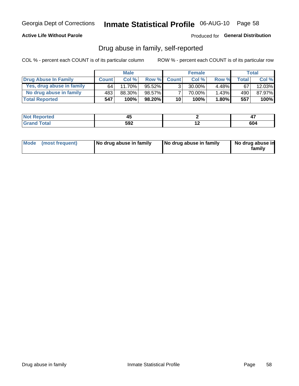#### **Active Life Without Parole**

### Produced for General Distribution

### Drug abuse in family, self-reported

COL % - percent each COUNT is of its particular column

|                           |              | <b>Male</b> |           |                 | <b>Female</b> |          |       | Total  |
|---------------------------|--------------|-------------|-----------|-----------------|---------------|----------|-------|--------|
| Drug Abuse In Family      | <b>Count</b> | Col%        | Row %     | <b>Count</b>    | Col%          | Row %    | Total | Col %  |
| Yes, drug abuse in family | 64           | 11.70%      | 95.52%    | 3 <sub>1</sub>  | $30.00\%$     | $4.48\%$ | 67    | 12.03% |
| No drug abuse in family   | 483          | 88.30%      | 98.57%    |                 | 70.00%        | $1.43\%$ | 490   | 87.97% |
| <b>Total Reported</b>     | 547          | 100%        | $98.20\%$ | 10 <sub>1</sub> | 100%          | $1.80\%$ | 557   | 100%   |

| <b>Not Reported</b> | שיד |     | <b>TI</b>  |
|---------------------|-----|-----|------------|
| "otal               | 592 | . . | ~~         |
| l Gran              |     |     | <b>0U4</b> |

|  | Mode (most frequent) | No drug abuse in family | No drug abuse in family | No drug abuse in<br>family |
|--|----------------------|-------------------------|-------------------------|----------------------------|
|--|----------------------|-------------------------|-------------------------|----------------------------|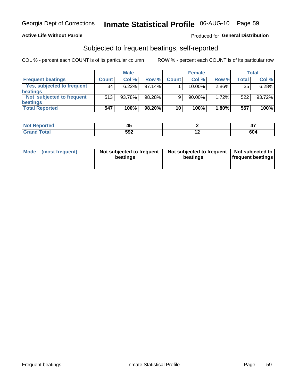#### **Active Life Without Parole**

#### Produced for General Distribution

### Subjected to frequent beatings, self-reported

COL % - percent each COUNT is of its particular column

|                                   |              | <b>Male</b> |           |              | <b>Female</b> |       |       | Total  |
|-----------------------------------|--------------|-------------|-----------|--------------|---------------|-------|-------|--------|
| <b>Frequent beatings</b>          | <b>Count</b> | Col %       | Row %     | <b>Count</b> | Col %         | Row % | Total | Col %  |
| <b>Yes, subjected to frequent</b> | 34           | 6.22%       | 97.14%    |              | 10.00%        | 2.86% | 35    | 6.28%  |
| <b>beatings</b>                   |              |             |           |              |               |       |       |        |
| Not subjected to frequent         | 513          | 93.78%      | 98.28%    | 9            | 90.00%        | 1.72% | 522   | 93.72% |
| <b>beatings</b>                   |              |             |           |              |               |       |       |        |
| <b>Total Reported</b>             | 547          | 100%        | $98.20\%$ | 10           | 100%          | 1.80% | 557   | 100%   |

| <b>Not Reported</b> |     |     |     |
|---------------------|-----|-----|-----|
| <b>Grand Total</b>  | 592 | . . | 604 |

| (most frequent)<br>Not subjected to frequent<br>Mode<br>beatings | Not subjected to frequent   Not subjected to<br>beatings | <b>frequent beatings</b> |
|------------------------------------------------------------------|----------------------------------------------------------|--------------------------|
|------------------------------------------------------------------|----------------------------------------------------------|--------------------------|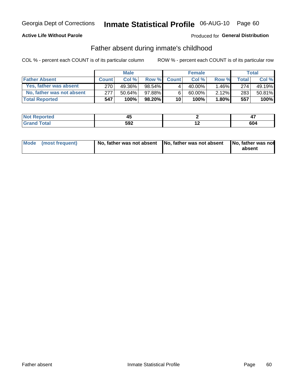#### **Active Life Without Parole**

### **Produced for General Distribution**

### Father absent during inmate's childhood

COL % - percent each COUNT is of its particular column

|                           |              | <b>Male</b> |           |              | <b>Female</b> |          |              | <b>Total</b> |
|---------------------------|--------------|-------------|-----------|--------------|---------------|----------|--------------|--------------|
| <b>Father Absent</b>      | <b>Count</b> | Col%        | Row %     | <b>Count</b> | Col%          | Row %    | <b>Total</b> | Col %        |
| Yes, father was absent    | 270          | 49.36%      | 98.54%    | 4            | 40.00%        | $1.46\%$ | 274          | 49.19%       |
| No, father was not absent | 277          | $50.64\%$   | 97.88%    | 6            | $60.00\%$     | $2.12\%$ | 283          | 50.81%       |
| <b>Total Reported</b>     | 547          | $100\%$     | $98.20\%$ | 10           | 100%          | $1.80\%$ | 557          | 100%         |

| اد د الس<br>≺eported<br><b>NOT</b> | т.  |     | $\overline{\phantom{0}}$<br>- 1 |
|------------------------------------|-----|-----|---------------------------------|
| <b>otal</b>                        | 592 | . . | 604                             |

|  | Mode (most frequent) | No, father was not absent No, father was not absent |  | No, father was not<br>absent |
|--|----------------------|-----------------------------------------------------|--|------------------------------|
|--|----------------------|-----------------------------------------------------|--|------------------------------|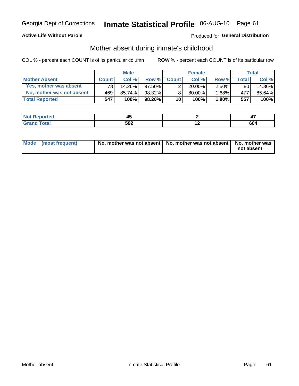#### **Active Life Without Parole**

### Produced for General Distribution

### Mother absent during inmate's childhood

COL % - percent each COUNT is of its particular column

|                           |              | <b>Male</b> |           |                 | <b>Female</b> |          |       | Total  |
|---------------------------|--------------|-------------|-----------|-----------------|---------------|----------|-------|--------|
| <b>Mother Absent</b>      | <b>Count</b> | Col%        | Row %     | <b>Count</b>    | Col %         | Row %    | Total | Col %  |
| Yes, mother was absent    | 781          | 14.26%      | $97.50\%$ | 2               | $20.00\%$     | $2.50\%$ | 80    | 14.36% |
| No, mother was not absent | 469          | 85.74%      | 98.32%    | 8               | 80.00%        | 1.68%    | 477   | 85.64% |
| <b>Total Reported</b>     | 547          | 100%        | $98.20\%$ | 10 <sup>1</sup> | 100%          | $1.80\%$ | 557   | 100%   |

| <b>Reported</b><br><b>NO</b> t<br>$\sim$ | т.  |     | - 1                            |
|------------------------------------------|-----|-----|--------------------------------|
| <b>cotal</b>                             | 592 | . . | $\overline{\phantom{a}}$<br>ου |

| Mode (most frequent) | No, mother was not absent   No, mother was not absent   No, mother was | not absent |
|----------------------|------------------------------------------------------------------------|------------|
|                      |                                                                        |            |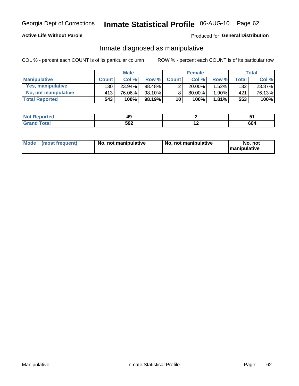#### **Active Life Without Parole**

#### Produced for General Distribution

### Inmate diagnosed as manipulative

COL % - percent each COUNT is of its particular column

|                          |              | <b>Male</b> |           |                       | <b>Female</b> |       |              | Total  |
|--------------------------|--------------|-------------|-----------|-----------------------|---------------|-------|--------------|--------|
| <b>Manipulative</b>      | <b>Count</b> | Col %       | Row %     | <b>Count</b>          | Col %         | Row % | <b>Total</b> | Col %  |
| <b>Yes, manipulative</b> | 130 l        | 23.94%      | 98.48%    | $\mathbf{2}^{\prime}$ | $20.00\%$     | 1.52% | 132          | 23.87% |
| No, not manipulative     | 413          | 76.06%      | 98.10%    | 8                     | 80.00%        | 1.90% | 421          | 76.13% |
| <b>Total Reported</b>    | 543          | 100%        | $98.19\%$ | 10                    | 100%          | 1.81% | 553          | 100%   |

| erreo |           |     |     |
|-------|-----------|-----|-----|
|       | cnn<br>-- | . . | 604 |

|  | Mode (most frequent) | No, not manipulative | No, not manipulative | No. not<br><b>I</b> manipulative |
|--|----------------------|----------------------|----------------------|----------------------------------|
|--|----------------------|----------------------|----------------------|----------------------------------|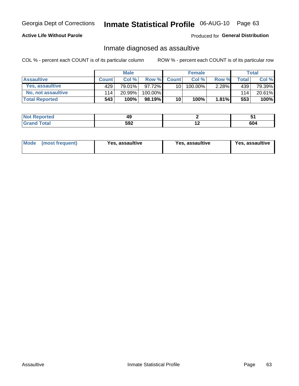## Inmate Statistical Profile 06-AUG-10 Page 63

#### **Active Life Without Parole**

#### Produced for General Distribution

### Inmate diagnosed as assaultive

COL % - percent each COUNT is of its particular column

|                           |              | <b>Male</b> |          |              | <b>Female</b> |          |              | Total  |
|---------------------------|--------------|-------------|----------|--------------|---------------|----------|--------------|--------|
| <b>Assaultive</b>         | <b>Count</b> | Col%        | Row %    | <b>Count</b> | Col %         | Row %    | <b>Total</b> | Col %  |
| Yes, assaultive           | 429          | 79.01%      | 97.72% I | 10           | 100.00%       | $2.28\%$ | 439          | 79.39% |
| <b>No, not assaultive</b> | 114          | 20.99%      | 100.00%  |              |               |          | 114          | 20.61% |
| <b>Total Reported</b>     | 543          | 100%        | 98.19%   | 10           | 100%          | 1.81%    | 553          | 100%   |

| <b>Reported</b><br><b>NO</b> t<br>. | --  |     | ັບເ                            |
|-------------------------------------|-----|-----|--------------------------------|
| <b>otal</b>                         | 592 | . . | $\overline{\phantom{a}}$<br>υu |

| <b>Mode</b><br>(most frequent) | <b>Yes, assaultive</b> | Yes, assaultive | <b>Yes, assaultive</b> |
|--------------------------------|------------------------|-----------------|------------------------|
|--------------------------------|------------------------|-----------------|------------------------|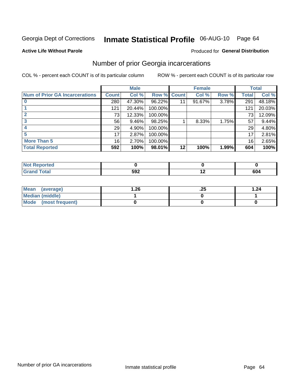## Inmate Statistical Profile 06-AUG-10 Page 64

#### **Active Life Without Parole**

#### **Produced for General Distribution**

### Number of prior Georgia incarcerations

COL % - percent each COUNT is of its particular column

|                                       |                 | <b>Male</b> |                    |    | <b>Female</b> |       |       | <b>Total</b> |
|---------------------------------------|-----------------|-------------|--------------------|----|---------------|-------|-------|--------------|
| <b>Num of Prior GA Incarcerations</b> | <b>Count</b>    | Col %       | <b>Row % Count</b> |    | Col %         | Row % | Total | Col %        |
|                                       | 280             | 47.30%      | 96.22%             |    | 91.67%        | 3.78% | 291   | 48.18%       |
|                                       | 121             | 20.44%      | 100.00%            |    |               |       | 121   | 20.03%       |
|                                       | 73              | 12.33%      | 100.00%            |    |               |       | 73    | 12.09%       |
| 3                                     | 56              | $9.46\%$    | 98.25%             |    | 8.33%         | 1.75% | 57    | 9.44%        |
|                                       | 29              | 4.90%       | 100.00%            |    |               |       | 29    | 4.80%        |
| 5                                     | 17              | 2.87%       | 100.00%            |    |               |       | 17    | 2.81%        |
| <b>More Than 5</b>                    | 16 <sub>1</sub> | 2.70%       | 100.00%            |    |               |       | 16    | 2.65%        |
| <b>Total Reported</b>                 | 592             | 100%        | 98.01%             | 12 | 100%          | 1.99% | 604   | 100%         |

| Reported<br>' NOI |            |     |
|-------------------|------------|-----|
| <b>Fotal</b>      | 5Q2<br>JJL | 604 |

| Mean (average)       | 26.، | ن 2. | 1.24 |
|----------------------|------|------|------|
| Median (middle)      |      |      |      |
| Mode (most frequent) |      |      |      |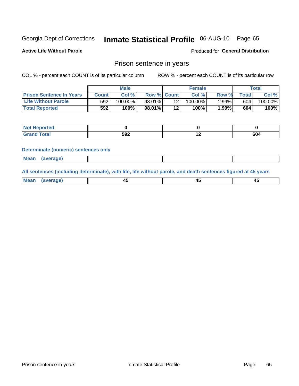# Inmate Statistical Profile 06-AUG-10 Page 65

**Active Life Without Parole** 

Produced for General Distribution

### Prison sentence in years

COL % - percent each COUNT is of its particular column

ROW % - percent each COUNT is of its particular row

|                                 |       | <b>Male</b> |                    |         | <b>Female</b> |       |       | $\tau$ otal |
|---------------------------------|-------|-------------|--------------------|---------|---------------|-------|-------|-------------|
| <b>Prison Sentence In Years</b> | Count | Col %       | <b>Row % Count</b> |         | Col%          | Row % | Total | Col %       |
| <b>Life Without Parole</b>      | 592   | $100.00\%$  | 98.01%             |         | $100.00\%$    | 1.99% | 604   | 100.00%     |
| <b>Total Reported</b>           | 592   | 100%        | 98.01%             | $12 \,$ | 100%          | 1.99% | 604   | 100%        |

| <b>Not Reported</b> |     |     |
|---------------------|-----|-----|
| <b>Total</b>        | 592 | 604 |

#### **Determinate (numeric) sentences only**

| <b>Mean</b><br><i>(average)</i> |  |
|---------------------------------|--|
|---------------------------------|--|

All sentences (including determinate), with life, life without parole, and death sentences figured at 45 years

| l Mea<br>апе<br>. | -⊷ |  |
|-------------------|----|--|
|                   |    |  |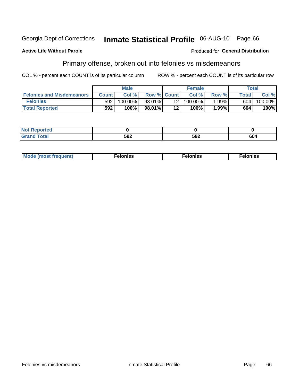#### Georgia Dept of Corrections Inmate Statistical Profile 06-AUG-10 Page 66

#### **Active Life Without Parole**

#### Produced for General Distribution

### Primary offense, broken out into felonies vs misdemeanors

COL % - percent each COUNT is of its particular column

|                                  |                  | <b>Male</b> |                    |                 | <b>Female</b> |          |              | Total   |
|----------------------------------|------------------|-------------|--------------------|-----------------|---------------|----------|--------------|---------|
| <b>Felonies and Misdemeanors</b> | <b>Count</b>     | Col%        | <b>Row % Count</b> |                 | Col%          | Row %    | <b>Total</b> | Col %   |
| <b>Felonies</b>                  | 592 <sub>1</sub> | 100.00%     | $98.01\%$          | 12 <sub>1</sub> | $100.00\%$    | $1.99\%$ | 604          | 100.00% |
| <b>Total Reported</b>            | 592              | 100%        | 98.01%             | 12'             | 100%          | $.99\%$  | 604          | 100%    |

| <b>Not Reported</b>         |            |     |     |
|-----------------------------|------------|-----|-----|
| <b>Total</b><br>Gran<br>uuu | cn-<br>JJL | 592 | 604 |

| $Mc$<br>equent)<br>нез<br>$\sim$<br>. | onies<br>. | <b>onies</b><br>. |
|---------------------------------------|------------|-------------------|
|---------------------------------------|------------|-------------------|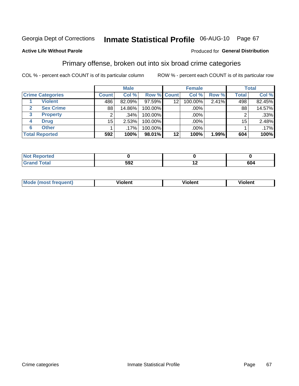# Inmate Statistical Profile 06-AUG-10 Page 67

#### **Active Life Without Parole**

#### Produced for General Distribution

### Primary offense, broken out into six broad crime categories

COL % - percent each COUNT is of its particular column

|                                  | <b>Male</b>  |         |             | <b>Female</b>   |         |       | <b>Total</b> |        |
|----------------------------------|--------------|---------|-------------|-----------------|---------|-------|--------------|--------|
| <b>Crime Categories</b>          | <b>Count</b> | Col %   | Row % Count |                 | Col %   | Row % | <b>Total</b> | Col %  |
| <b>Violent</b>                   | 486'         | 82.09%  | 97.59%      | 12 <sub>2</sub> | 100.00% | 2.41% | 498          | 82.45% |
| <b>Sex Crime</b><br>$\mathbf{2}$ | 88           | 14.86%  | 100.00%     |                 | .00%    |       | 88           | 14.57% |
| 3<br><b>Property</b>             | 2            | .34%    | 100.00%     |                 | .00%    |       |              | .33%   |
| <b>Drug</b><br>4                 | 15           | 2.53%   | 100.00%     |                 | .00%    |       | 15           | 2.48%  |
| <b>Other</b><br>6                |              | $.17\%$ | 100.00%     |                 | .00%    |       |              | .17%   |
| <b>Total Reported</b>            | 592          | 100%    | 98.01%      | 12              | 100%    | 1.99% | 604          | 100%   |

| <b>Not Reported</b> |     |     |     |
|---------------------|-----|-----|-----|
| Total               | 592 | . . | 604 |

| М | ,,, | - -- -<br>וחו | m |
|---|-----|---------------|---|
|   |     |               |   |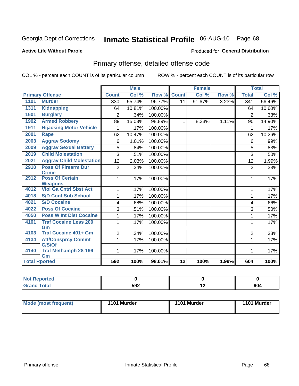# Inmate Statistical Profile 06-AUG-10 Page 68

#### **Active Life Without Parole**

#### Produced for General Distribution

## Primary offense, detailed offense code

COL % - percent each COUNT is of its particular column

|                      |                                                 |                | <b>Male</b> |         |                 | <b>Female</b> |       |                  | <b>Total</b> |
|----------------------|-------------------------------------------------|----------------|-------------|---------|-----------------|---------------|-------|------------------|--------------|
|                      | <b>Primary Offense</b>                          | <b>Count</b>   | Col %       | Row %   | <b>Count</b>    | Col %         | Row % | <b>Total</b>     | Col %        |
| 1101                 | <b>Murder</b>                                   | 330            | 55.74%      | 96.77%  | $\overline{11}$ | 91.67%        | 3.23% | $\overline{341}$ | 56.46%       |
| 1311                 | <b>Kidnapping</b>                               | 64             | 10.81%      | 100.00% |                 |               |       | 64               | 10.60%       |
| 1601                 | <b>Burglary</b>                                 | $\overline{2}$ | .34%        | 100.00% |                 |               |       | $\overline{2}$   | .33%         |
| 1902                 | <b>Armed Robbery</b>                            | 89             | 15.03%      | 98.89%  | $\mathbf{1}$    | 8.33%         | 1.11% | 90               | 14.90%       |
| 1911                 | <b>Hijacking Motor Vehicle</b>                  |                | .17%        | 100.00% |                 |               |       | 1                | .17%         |
| 2001                 | <b>Rape</b>                                     | 62             | 10.47%      | 100.00% |                 |               |       | 62               | 10.26%       |
| 2003                 | <b>Aggrav Sodomy</b>                            | 6              | 1.01%       | 100.00% |                 |               |       | 6                | .99%         |
| 2009                 | <b>Aggrav Sexual Battery</b>                    | 5              | .84%        | 100.00% |                 |               |       | 5                | .83%         |
| 2019                 | <b>Child Molestation</b>                        | 3              | .51%        | 100.00% |                 |               |       | 3                | .50%         |
| 2021                 | <b>Aggrav Child Molestation</b>                 | 12             | 2.03%       | 100.00% |                 |               |       | 12               | 1.99%        |
| 2910                 | <b>Poss Of Firearm Dur</b>                      | $\overline{2}$ | .34%        | 100.00% |                 |               |       | $\overline{2}$   | .33%         |
|                      | <b>Crime</b>                                    |                |             |         |                 |               |       |                  |              |
| 2912                 | <b>Poss Of Certain</b>                          | 1              | .17%        | 100.00% |                 |               |       | 1                | .17%         |
| 4012                 | <b>Weapons</b><br><b>Viol Ga Cntrl Sbst Act</b> |                |             |         |                 |               |       |                  |              |
|                      |                                                 | 1              | .17%        | 100.00% |                 |               |       | 1                | .17%         |
| 4018                 | <b>S/D Cont Sub School</b>                      | 1              | .17%        | 100.00% |                 |               |       | 1                | .17%         |
| 4021                 | <b>S/D Cocaine</b>                              | 4              | .68%        | 100.00% |                 |               |       | 4                | .66%         |
| 4022                 | <b>Poss Of Cocaine</b>                          | 3              | .51%        | 100.00% |                 |               |       | 3                | .50%         |
| 4050                 | <b>Poss W Int Dist Cocaine</b>                  |                | .17%        | 100.00% |                 |               |       | 1                | .17%         |
| 4101                 | <b>Traf Cocaine Less 200</b>                    | 1              | .17%        | 100.00% |                 |               |       | 1                | .17%         |
|                      | Gm                                              |                |             |         |                 |               |       |                  |              |
| 4103                 | <b>Traf Cocaine 401+ Gm</b>                     | 2              | .34%        | 100.00% |                 |               |       | $\overline{2}$   | .33%         |
| 4134                 | <b>Att/Consprcy Commt</b>                       | 1              | .17%        | 100.00% |                 |               |       | $\mathbf{1}$     | .17%         |
|                      | C/S/Of                                          |                |             |         |                 |               |       |                  |              |
| 4140                 | <b>Traf Methamph 28-199</b>                     | 1              | .17%        | 100.00% |                 |               |       | 1                | .17%         |
|                      | Gm                                              |                |             |         |                 |               |       |                  |              |
| <b>Total Rported</b> |                                                 | 592            | 100%        | 98.01%  | $\overline{12}$ | 100%          | 1.99% | 604              | 100%         |

| oorted<br><b>NOT</b> |     |        |     |
|----------------------|-----|--------|-----|
| <b>otal</b>          | 592 | $\sim$ | 604 |

| <b>Mode (most frequent)</b> | 1101 Murder | 1101 Murder | 1101 Murder |
|-----------------------------|-------------|-------------|-------------|
|                             |             |             |             |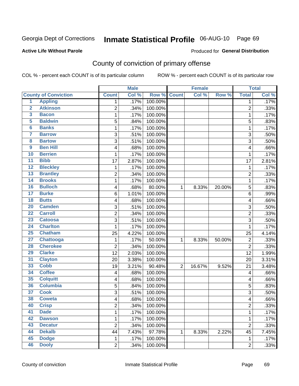# Inmate Statistical Profile 06-AUG-10 Page 69

#### **Active Life Without Parole**

#### Produced for General Distribution

## County of conviction of primary offense

COL % - percent each COUNT is of its particular column

|                         |                             |                | <b>Male</b> |         |                | <b>Female</b> |        |                | <b>Total</b> |
|-------------------------|-----------------------------|----------------|-------------|---------|----------------|---------------|--------|----------------|--------------|
|                         | <b>County of Conviction</b> | <b>Count</b>   | Col %       | Row %   | <b>Count</b>   | Col %         | Row %  | <b>Total</b>   | Col %        |
| 1                       | <b>Appling</b>              | 1              | .17%        | 100.00% |                |               |        | 1              | .17%         |
| $\overline{2}$          | <b>Atkinson</b>             | $\overline{2}$ | .34%        | 100.00% |                |               |        | $\overline{2}$ | .33%         |
| $\overline{\mathbf{3}}$ | <b>Bacon</b>                | 1              | .17%        | 100.00% |                |               |        | $\mathbf 1$    | .17%         |
| 5                       | <b>Baldwin</b>              | 5              | .84%        | 100.00% |                |               |        | 5              | .83%         |
| $6\phantom{a}$          | <b>Banks</b>                | 1              | .17%        | 100.00% |                |               |        | $\mathbf 1$    | .17%         |
| 7                       | <b>Barrow</b>               | 3              | .51%        | 100.00% |                |               |        | $\overline{3}$ | .50%         |
| 8                       | <b>Bartow</b>               | 3              | .51%        | 100.00% |                |               |        | 3              | .50%         |
| 9                       | <b>Ben Hill</b>             | 4              | .68%        | 100.00% |                |               |        | 4              | .66%         |
| 10                      | <b>Berrien</b>              | 1              | .17%        | 100.00% |                |               |        | 1              | .17%         |
| $\overline{11}$         | <b>Bibb</b>                 | 17             | 2.87%       | 100.00% |                |               |        | 17             | 2.81%        |
| $\overline{12}$         | <b>Bleckley</b>             | 1              | .17%        | 100.00% |                |               |        | 1              | .17%         |
| $\overline{13}$         | <b>Brantley</b>             | $\overline{2}$ | .34%        | 100.00% |                |               |        | $\overline{2}$ | .33%         |
| $\overline{14}$         | <b>Brooks</b>               | 1              | .17%        | 100.00% |                |               |        | $\mathbf 1$    | .17%         |
| 16                      | <b>Bulloch</b>              | 4              | .68%        | 80.00%  | 1              | 8.33%         | 20.00% | 5              | .83%         |
| $\overline{17}$         | <b>Burke</b>                | 6              | 1.01%       | 100.00% |                |               |        | 6              | .99%         |
| $\overline{18}$         | <b>Butts</b>                | 4              | .68%        | 100.00% |                |               |        | 4              | .66%         |
| $\overline{20}$         | <b>Camden</b>               | 3              | .51%        | 100.00% |                |               |        | 3              | .50%         |
| $\overline{22}$         | <b>Carroll</b>              | $\overline{c}$ | .34%        | 100.00% |                |               |        | $\overline{c}$ | .33%         |
| 23                      | <b>Catoosa</b>              | 3              | .51%        | 100.00% |                |               |        | 3              | .50%         |
| 24                      | <b>Charlton</b>             | 1              | .17%        | 100.00% |                |               |        | 1              | .17%         |
| $\overline{25}$         | <b>Chatham</b>              | 25             | 4.22%       | 100.00% |                |               |        | 25             | 4.14%        |
| $\overline{27}$         | <b>Chattooga</b>            | 1              | .17%        | 50.00%  | $\mathbf 1$    | 8.33%         | 50.00% | $\overline{2}$ | .33%         |
| 28                      | <b>Cherokee</b>             | $\overline{c}$ | .34%        | 100.00% |                |               |        | $\overline{2}$ | .33%         |
| 29                      | <b>Clarke</b>               | 12             | 2.03%       | 100.00% |                |               |        | 12             | 1.99%        |
| 31                      | <b>Clayton</b>              | 20             | 3.38%       | 100.00% |                |               |        | 20             | 3.31%        |
| 33                      | <b>Cobb</b>                 | 19             | 3.21%       | 90.48%  | $\overline{2}$ | 16.67%        | 9.52%  | 21             | 3.48%        |
| 34                      | <b>Coffee</b>               | 4              | .68%        | 100.00% |                |               |        | 4              | .66%         |
| 35                      | <b>Colquitt</b>             | 4              | .68%        | 100.00% |                |               |        | 4              | .66%         |
| 36                      | <b>Columbia</b>             | 5              | .84%        | 100.00% |                |               |        | 5              | .83%         |
| $\overline{37}$         | <b>Cook</b>                 | 3              | .51%        | 100.00% |                |               |        | 3              | .50%         |
| 38                      | <b>Coweta</b>               | 4              | .68%        | 100.00% |                |               |        | 4              | .66%         |
| 40                      | <b>Crisp</b>                | $\overline{c}$ | .34%        | 100.00% |                |               |        | 2              | .33%         |
| 41                      | <b>Dade</b>                 | $\mathbf{1}$   | .17%        | 100.00% |                |               |        | $\mathbf{1}$   | .17%         |
| 42                      | <b>Dawson</b>               | 1              | .17%        | 100.00% |                |               |        | $\mathbf{1}$   | .17%         |
| 43                      | <b>Decatur</b>              | $\overline{c}$ | .34%        | 100.00% |                |               |        | $\overline{2}$ | .33%         |
| 44                      | <b>Dekalb</b>               | 44             | 7.43%       | 97.78%  | 1              | 8.33%         | 2.22%  | 45             | 7.45%        |
| 45                      | <b>Dodge</b>                | $\mathbf{1}$   | .17%        | 100.00% |                |               |        | $\mathbf{1}$   | .17%         |
| 46                      | <b>Dooly</b>                | $\overline{2}$ | .34%        | 100.00% |                |               |        | $\overline{2}$ | .33%         |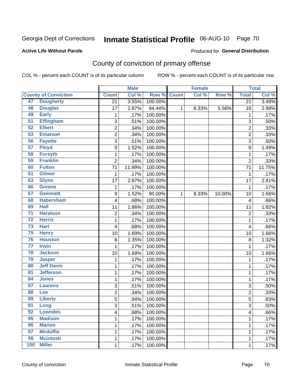# Inmate Statistical Profile 06-AUG-10 Page 70

#### **Active Life Without Parole**

#### Produced for General Distribution

## County of conviction of primary offense

COL % - percent each COUNT is of its particular column

|                 |                             |                  | <b>Male</b> |         |              | <b>Female</b> |        |                         | <b>Total</b> |
|-----------------|-----------------------------|------------------|-------------|---------|--------------|---------------|--------|-------------------------|--------------|
|                 | <b>County of Conviction</b> | <b>Count</b>     | Col %       | Row %   | <b>Count</b> | Col %         | Row %  | <b>Total</b>            | Col %        |
| 47              | <b>Dougherty</b>            | $\overline{21}$  | 3.55%       | 100.00% |              |               |        | $\overline{21}$         | 3.48%        |
| 48              | <b>Douglas</b>              | 17               | 2.87%       | 94.44%  | $\mathbf{1}$ | 8.33%         | 5.56%  | 18                      | 2.98%        |
| 49              | <b>Early</b>                | $\mathbf 1$      | .17%        | 100.00% |              |               |        | 1                       | .17%         |
| $\overline{51}$ | <b>Effingham</b>            | $\overline{3}$   | .51%        | 100.00% |              |               |        | $\mathbf{3}$            | .50%         |
| 52              | <b>Elbert</b>               | $\overline{c}$   | .34%        | 100.00% |              |               |        | $\overline{2}$          | .33%         |
| $\overline{53}$ | <b>Emanuel</b>              | $\overline{c}$   | .34%        | 100.00% |              |               |        | $\overline{2}$          | .33%         |
| 56              | <b>Fayette</b>              | $\overline{3}$   | .51%        | 100.00% |              |               |        | 3                       | .50%         |
| $\overline{57}$ | <b>Floyd</b>                | $\overline{9}$   | 1.52%       | 100.00% |              |               |        | $\boldsymbol{9}$        | 1.49%        |
| 58              | <b>Forsyth</b>              | $\mathbf{1}$     | .17%        | 100.00% |              |               |        | $\mathbf 1$             | .17%         |
| 59              | <b>Franklin</b>             | $\overline{2}$   | .34%        | 100.00% |              |               |        | $\overline{2}$          | .33%         |
| 60              | <b>Fulton</b>               | 71               | 11.99%      | 100.00% |              |               |        | 71                      | 11.75%       |
| 61              | <b>Gilmer</b>               | 1                | .17%        | 100.00% |              |               |        | $\mathbf 1$             | .17%         |
| 63              | <b>Glynn</b>                | 17               | 2.87%       | 100.00% |              |               |        | 17                      | 2.81%        |
| 66              | <b>Greene</b>               | 1                | .17%        | 100.00% |              |               |        | $\mathbf{1}$            | .17%         |
| 67              | <b>Gwinnett</b>             | $\boldsymbol{9}$ | 1.52%       | 90.00%  | 1            | 8.33%         | 10.00% | 10                      | 1.66%        |
| 68              | <b>Habersham</b>            | 4                | .68%        | 100.00% |              |               |        | $\overline{\mathbf{4}}$ | .66%         |
| 69              | <b>Hall</b>                 | 11               | 1.86%       | 100.00% |              |               |        | 11                      | 1.82%        |
| $\overline{71}$ | <b>Haralson</b>             | 2                | .34%        | 100.00% |              |               |        | $\overline{2}$          | .33%         |
| $\overline{72}$ | <b>Harris</b>               | 1                | .17%        | 100.00% |              |               |        | $\mathbf 1$             | .17%         |
| 73              | <b>Hart</b>                 | 4                | .68%        | 100.00% |              |               |        | 4                       | .66%         |
| 75              | <b>Henry</b>                | 10               | 1.69%       | 100.00% |              |               |        | 10                      | 1.66%        |
| 76              | <b>Houston</b>              | 8                | 1.35%       | 100.00% |              |               |        | 8                       | 1.32%        |
| $\overline{77}$ | <b>Irwin</b>                | 1                | .17%        | 100.00% |              |               |        | $\mathbf 1$             | .17%         |
| 78              | <b>Jackson</b>              | 10               | 1.69%       | 100.00% |              |               |        | 10                      | 1.66%        |
| 79              | <b>Jasper</b>               | $\mathbf{1}$     | .17%        | 100.00% |              |               |        | 1                       | .17%         |
| 80              | <b>Jeff Davis</b>           | 1                | .17%        | 100.00% |              |               |        | $\mathbf 1$             | .17%         |
| 81              | <b>Jefferson</b>            | 1                | .17%        | 100.00% |              |               |        | $\mathbf 1$             | .17%         |
| 84              | <b>Jones</b>                | 1                | .17%        | 100.00% |              |               |        | $\mathbf 1$             | .17%         |
| 87              | <b>Laurens</b>              | 3                | .51%        | 100.00% |              |               |        | 3                       | .50%         |
| 88              | Lee                         | $\overline{c}$   | .34%        | 100.00% |              |               |        | $\overline{2}$          | .33%         |
| 89              | <b>Liberty</b>              | 5                | .84%        | 100.00% |              |               |        | 5                       | .83%         |
| 91              | Long                        | 3                | .51%        | 100.00% |              |               |        | 3                       | $.50\%$      |
| 92              | <b>Lowndes</b>              | 4                | .68%        | 100.00% |              |               |        | $\overline{\mathbf{4}}$ | .66%         |
| 95              | <b>Madison</b>              | 1                | .17%        | 100.00% |              |               |        | $\mathbf{1}$            | .17%         |
| 96              | <b>Marion</b>               | 1                | .17%        | 100.00% |              |               |        | $\mathbf{1}$            | .17%         |
| 97              | <b>Mcduffie</b>             | 1                | .17%        | 100.00% |              |               |        | 1                       | .17%         |
| 98              | <b>Mcintosh</b>             | 1                | .17%        | 100.00% |              |               |        | 1                       | .17%         |
| 100             | <b>Miller</b>               | $\mathbf 1$      | .17%        | 100.00% |              |               |        | $\mathbf{1}$            | .17%         |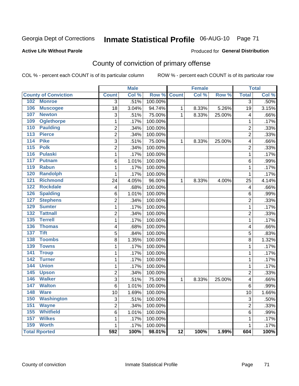# Inmate Statistical Profile 06-AUG-10 Page 71

#### **Active Life Without Parole**

#### Produced for General Distribution

## County of conviction of primary offense

COL % - percent each COUNT is of its particular column

|                                     |                         | <b>Male</b> |         |                 | <b>Female</b> |        |                         | <b>Total</b> |
|-------------------------------------|-------------------------|-------------|---------|-----------------|---------------|--------|-------------------------|--------------|
| <b>County of Conviction</b>         | <b>Count</b>            | Col %       | Row %   | <b>Count</b>    | Col %         | Row %  | <b>Total</b>            | Col %        |
| 102 Monroe                          | $\overline{3}$          | .51%        | 100.00% |                 |               |        | $\overline{3}$          | .50%         |
| 106<br><b>Muscogee</b>              | 18                      | 3.04%       | 94.74%  | $\mathbf{1}$    | 8.33%         | 5.26%  | 19                      | 3.15%        |
| 107<br><b>Newton</b>                | 3                       | .51%        | 75.00%  | $\mathbf{1}$    | 8.33%         | 25.00% | 4                       | .66%         |
| 109<br><b>Oglethorpe</b>            | $\mathbf 1$             | .17%        | 100.00% |                 |               |        | $\mathbf{1}$            | .17%         |
| 110<br><b>Paulding</b>              | $\overline{c}$          | .34%        | 100.00% |                 |               |        | $\overline{c}$          | .33%         |
| 113<br><b>Pierce</b>                | $\overline{2}$          | .34%        | 100.00% |                 |               |        | $\overline{2}$          | .33%         |
| <b>Pike</b><br>114                  | 3                       | .51%        | 75.00%  | $\mathbf{1}$    | 8.33%         | 25.00% | 4                       | .66%         |
| 115<br><b>Polk</b>                  | $\overline{2}$          | .34%        | 100.00% |                 |               |        | $\overline{2}$          | .33%         |
| <b>Pulaski</b><br>116               | $\mathbf 1$             | .17%        | 100.00% |                 |               |        | $\mathbf{1}$            | .17%         |
| 117<br><b>Putnam</b>                | 6                       | 1.01%       | 100.00% |                 |               |        | 6                       | .99%         |
| 119<br><b>Rabun</b>                 | $\mathbf 1$             | .17%        | 100.00% |                 |               |        | 1                       | .17%         |
| <b>Randolph</b><br>120              | $\mathbf{1}$            | .17%        | 100.00% |                 |               |        | $\mathbf{1}$            | .17%         |
| <b>Richmond</b><br>121              | 24                      | 4.05%       | 96.00%  | $\mathbf{1}$    | 8.33%         | 4.00%  | 25                      | 4.14%        |
| 122<br><b>Rockdale</b>              | $\overline{\mathbf{4}}$ | .68%        | 100.00% |                 |               |        | $\overline{\mathbf{4}}$ | .66%         |
| <b>Spalding</b><br>126              | 6                       | 1.01%       | 100.00% |                 |               |        | 6                       | .99%         |
| <b>Stephens</b><br>127              | $\overline{2}$          | .34%        | 100.00% |                 |               |        | $\overline{2}$          | .33%         |
| <b>Sumter</b><br>129                | 1                       | .17%        | 100.00% |                 |               |        | 1                       | .17%         |
| $\overline{132}$<br><b>Tattnall</b> | $\overline{2}$          | .34%        | 100.00% |                 |               |        | $\overline{2}$          | .33%         |
| 135<br><b>Terrell</b>               | $\mathbf{1}$            | .17%        | 100.00% |                 |               |        | $\mathbf{1}$            | .17%         |
| 136<br><b>Thomas</b>                | 4                       | .68%        | 100.00% |                 |               |        | 4                       | .66%         |
| <b>Tift</b><br>137                  | 5                       | .84%        | 100.00% |                 |               |        | 5                       | .83%         |
| <b>Toombs</b><br>138                | $\overline{8}$          | 1.35%       | 100.00% |                 |               |        | 8                       | 1.32%        |
| 139<br><b>Towns</b>                 | $\mathbf 1$             | .17%        | 100.00% |                 |               |        | $\mathbf 1$             | .17%         |
| 141<br><b>Troup</b>                 | $\mathbf{1}$            | .17%        | 100.00% |                 |               |        | $\mathbf 1$             | .17%         |
| 142<br><b>Turner</b>                | $\mathbf 1$             | .17%        | 100.00% |                 |               |        | $\mathbf 1$             | .17%         |
| <b>Union</b><br>144                 | $\overline{1}$          | .17%        | 100.00% |                 |               |        | $\overline{1}$          | .17%         |
| 145<br><b>Upson</b>                 | $\overline{2}$          | .34%        | 100.00% |                 |               |        | $\overline{2}$          | .33%         |
| <b>Walker</b><br>146                | $\overline{3}$          | .51%        | 75.00%  | 1               | 8.33%         | 25.00% | 4                       | .66%         |
| 147<br><b>Walton</b>                | $\overline{6}$          | 1.01%       | 100.00% |                 |               |        | 6                       | .99%         |
| <b>Ware</b><br>148                  | 10                      | 1.69%       | 100.00% |                 |               |        | 10                      | 1.66%        |
| 150<br><b>Washington</b>            | 3                       | .51%        | 100.00% |                 |               |        | 3                       | .50%         |
| 151<br><b>Wayne</b>                 | $\overline{2}$          | .34%        | 100.00% |                 |               |        | $\overline{2}$          | .33%         |
| 155<br><b>Whitfield</b>             | 6                       | 1.01%       | 100.00% |                 |               |        | 6                       | .99%         |
| <b>Wilkes</b><br>157                | $\mathbf{1}$            | .17%        | 100.00% |                 |               |        | $\mathbf 1$             | .17%         |
| 159<br><b>Worth</b>                 | 1                       | .17%        | 100.00% |                 |               |        | $\mathbf{1}$            | .17%         |
| <b>Total Rported</b>                | $\overline{592}$        | 100%        | 98.01%  | $\overline{12}$ | 100%          | 1.99%  | 604                     | 100%         |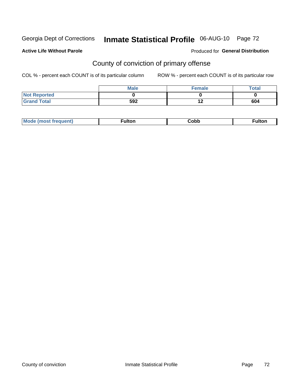# Inmate Statistical Profile 06-AUG-10 Page 72

#### **Active Life Without Parole**

#### Produced for General Distribution

## County of conviction of primary offense

COL % - percent each COUNT is of its particular column

|                     | <b>Male</b> | <b>Female</b>    | <b>Total</b> |
|---------------------|-------------|------------------|--------------|
| <b>Not Reported</b> |             |                  |              |
| <b>Grand Total</b>  | 592         | $\bullet$<br>1 Z | 604          |

| $-1110.25$<br>้นแบเ | <b>Mode</b><br>freauent) | . . <b>. .</b> | Cobb | <b>ulton</b> |
|---------------------|--------------------------|----------------|------|--------------|
|---------------------|--------------------------|----------------|------|--------------|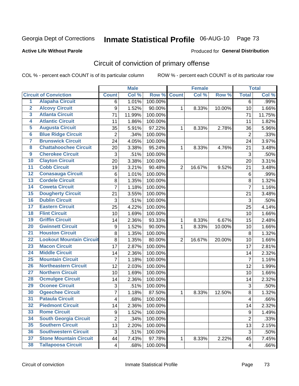Georgia Dept of Corrections

# Inmate Statistical Profile 06-AUG-10 Page 73

#### **Active Life Without Parole**

#### Produced for General Distribution

## Circuit of conviction of primary offense

COL % - percent each COUNT is of its particular column

|                         |                                 |                         | <b>Male</b> |         |                | <b>Female</b> |        |                         | <b>Total</b> |
|-------------------------|---------------------------------|-------------------------|-------------|---------|----------------|---------------|--------|-------------------------|--------------|
|                         | <b>Circuit of Conviction</b>    | <b>Count</b>            | Col %       | Row %   | <b>Count</b>   | Col %         | Row %  | <b>Total</b>            | Col %        |
| 1                       | <b>Alapaha Circuit</b>          | 6                       | 1.01%       | 100.00% |                |               |        | $\overline{6}$          | .99%         |
| $\overline{2}$          | <b>Alcovy Circuit</b>           | 9                       | 1.52%       | 90.00%  | 1              | 8.33%         | 10.00% | 10                      | 1.66%        |
| $\overline{\mathbf{3}}$ | <b>Atlanta Circuit</b>          | 71                      | 11.99%      | 100.00% |                |               |        | 71                      | 11.75%       |
| 4                       | <b>Atlantic Circuit</b>         | 11                      | 1.86%       | 100.00% |                |               |        | 11                      | 1.82%        |
| $\overline{5}$          | <b>Augusta Circuit</b>          | 35                      | 5.91%       | 97.22%  | $\mathbf{1}$   | 8.33%         | 2.78%  | 36                      | 5.96%        |
| $\overline{6}$          | <b>Blue Ridge Circuit</b>       | $\overline{2}$          | .34%        | 100.00% |                |               |        | $\overline{2}$          | .33%         |
| 7                       | <b>Brunswick Circuit</b>        | 24                      | 4.05%       | 100.00% |                |               |        | 24                      | 3.97%        |
| $\overline{\mathbf{8}}$ | <b>Chattahoochee Circuit</b>    | 20                      | 3.38%       | 95.24%  | 1              | 8.33%         | 4.76%  | 21                      | 3.48%        |
| $\overline{9}$          | <b>Cherokee Circuit</b>         | 3                       | .51%        | 100.00% |                |               |        | 3                       | .50%         |
| 10                      | <b>Clayton Circuit</b>          | 20                      | 3.38%       | 100.00% |                |               |        | 20                      | 3.31%        |
| $\overline{11}$         | <b>Cobb Circuit</b>             | 19                      | 3.21%       | 90.48%  | $\overline{2}$ | 16.67%        | 9.52%  | 21                      | 3.48%        |
| $\overline{12}$         | <b>Conasauga Circuit</b>        | 6                       | 1.01%       | 100.00% |                |               |        | 6                       | .99%         |
| $\overline{13}$         | <b>Cordele Circuit</b>          | 8                       | 1.35%       | 100.00% |                |               |        | 8                       | 1.32%        |
| $\overline{14}$         | <b>Coweta Circuit</b>           | $\overline{7}$          | 1.18%       | 100.00% |                |               |        | $\overline{7}$          | 1.16%        |
| 15                      | <b>Dougherty Circuit</b>        | 21                      | 3.55%       | 100.00% |                |               |        | 21                      | 3.48%        |
| 16                      | <b>Dublin Circuit</b>           | 3                       | .51%        | 100.00% |                |               |        | 3                       | .50%         |
| $\overline{17}$         | <b>Eastern Circuit</b>          | 25                      | 4.22%       | 100.00% |                |               |        | 25                      | 4.14%        |
| 18                      | <b>Flint Circuit</b>            | 10                      | 1.69%       | 100.00% |                |               |        | 10                      | 1.66%        |
| 19                      | <b>Griffin Circuit</b>          | 14                      | 2.36%       | 93.33%  | 1              | 8.33%         | 6.67%  | 15                      | 2.48%        |
| $\overline{20}$         | <b>Gwinnett Circuit</b>         | 9                       | 1.52%       | 90.00%  | 1              | 8.33%         | 10.00% | 10                      | 1.66%        |
| $\overline{21}$         | <b>Houston Circuit</b>          | 8                       | 1.35%       | 100.00% |                |               |        | 8                       | 1.32%        |
| $\overline{22}$         | <b>Lookout Mountain Circuit</b> | 8                       | 1.35%       | 80.00%  | $\overline{2}$ | 16.67%        | 20.00% | 10                      | 1.66%        |
| 23                      | <b>Macon Circuit</b>            | 17                      | 2.87%       | 100.00% |                |               |        | 17                      | 2.81%        |
| $\overline{24}$         | <b>Middle Circuit</b>           | 14                      | 2.36%       | 100.00% |                |               |        | 14                      | 2.32%        |
| $\overline{25}$         | <b>Mountain Circuit</b>         | $\overline{7}$          | 1.18%       | 100.00% |                |               |        | $\overline{7}$          | 1.16%        |
| 26                      | <b>Northeastern Circuit</b>     | 12                      | 2.03%       | 100.00% |                |               |        | 12                      | 1.99%        |
| $\overline{27}$         | <b>Northern Circuit</b>         | 10                      | 1.69%       | 100.00% |                |               |        | 10                      | 1.66%        |
| 28                      | <b>Ocmulgee Circuit</b>         | 14                      | 2.36%       | 100.00% |                |               |        | 14                      | 2.32%        |
| 29                      | <b>Oconee Circuit</b>           | 3                       | .51%        | 100.00% |                |               |        | 3                       | .50%         |
| 30                      | <b>Ogeechee Circuit</b>         | 7                       | 1.18%       | 87.50%  | 1              | 8.33%         | 12.50% | $\bf 8$                 | 1.32%        |
| $\overline{31}$         | <b>Pataula Circuit</b>          | 4                       | .68%        | 100.00% |                |               |        | 4                       | .66%         |
| 32                      | <b>Piedmont Circuit</b>         | 14                      | 2.36%       | 100.00% |                |               |        | 14                      | 2.32%        |
| 33                      | <b>Rome Circuit</b>             | 9                       | 1.52%       | 100.00% |                |               |        | 9                       | 1.49%        |
| 34                      | <b>South Georgia Circuit</b>    | $\overline{2}$          | .34%        | 100.00% |                |               |        | $\overline{2}$          | .33%         |
| 35                      | <b>Southern Circuit</b>         | 13                      | 2.20%       | 100.00% |                |               |        | 13                      | 2.15%        |
| 36                      | <b>Southwestern Circuit</b>     | 3                       | .51%        | 100.00% |                |               |        | 3                       | .50%         |
| 37                      | <b>Stone Mountain Circuit</b>   | 44                      | 7.43%       | 97.78%  | 1              | 8.33%         | 2.22%  | 45                      | 7.45%        |
| 38                      | <b>Tallapoosa Circuit</b>       | $\overline{\mathbf{4}}$ | .68%        | 100.00% |                |               |        | $\overline{\mathbf{4}}$ | .66%         |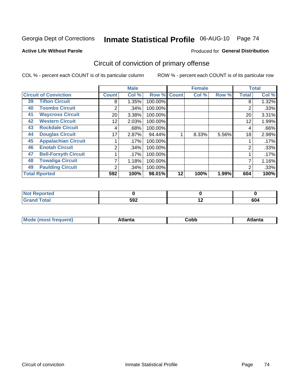Georgia Dept of Corrections

# Inmate Statistical Profile 06-AUG-10 Page 74

#### **Active Life Without Parole**

#### Produced for General Distribution

## Circuit of conviction of primary offense

COL % - percent each COUNT is of its particular column

|                                   |                 | <b>Male</b> |         |              | <b>Female</b> |       |              | <b>Total</b> |
|-----------------------------------|-----------------|-------------|---------|--------------|---------------|-------|--------------|--------------|
| <b>Circuit of Conviction</b>      | <b>Count</b>    | Col %       | Row %   | <b>Count</b> | Col %         | Row % | <b>Total</b> | Col %        |
| <b>Tifton Circuit</b><br>39       | 8               | 1.35%       | 100.00% |              |               |       | 8            | 1.32%        |
| <b>Toombs Circuit</b><br>40       | 2               | .34%        | 100.00% |              |               |       | 2            | .33%         |
| <b>Waycross Circuit</b><br>41     | 20 <sub>1</sub> | 3.38%       | 100.00% |              |               |       | 20           | 3.31%        |
| <b>Western Circuit</b><br>42      | 12              | 2.03%       | 100.00% |              |               |       | 12           | 1.99%        |
| <b>Rockdale Circuit</b><br>43     | 4               | .68%        | 100.00% |              |               |       | 4            | .66%         |
| <b>Douglas Circuit</b><br>44      | 17              | 2.87%       | 94.44%  |              | 8.33%         | 5.56% | 18           | 2.98%        |
| <b>Appalachian Circuit</b><br>45  |                 | .17%        | 100.00% |              |               |       |              | .17%         |
| <b>Enotah Circuit</b><br>46       | 2               | .34%        | 100.00% |              |               |       | 2            | .33%         |
| <b>Bell-Forsyth Circuit</b><br>47 |                 | .17%        | 100.00% |              |               |       |              | .17%         |
| <b>Towaliga Circuit</b><br>48     |                 | 1.18%       | 100.00% |              |               |       |              | 1.16%        |
| <b>Paulding Circuit</b><br>49     | ◠               | .34%        | 100.00% |              |               |       | 2            | .33%         |
| <b>Total Rported</b>              | 592             | 100%        | 98.01%  | 12           | 100%          | 1.99% | 604          | 100%         |

| <b>eported</b><br>N |     |     |     |
|---------------------|-----|-----|-----|
| <b>Total</b>        | 592 | . . | 604 |

| M | . | -----<br>oг | ----<br>пLс |
|---|---|-------------|-------------|
|   |   | <b>OUNN</b> |             |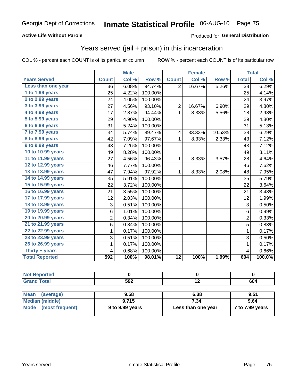#### **Active Life Without Parole**

#### Produced for General Distribution

### Years served (jail + prison) in this incarceration

COL % - percent each COUNT is of its particular column

|                       |                | <b>Male</b> |         |                | <b>Female</b>             |        |                         | <b>Total</b> |
|-----------------------|----------------|-------------|---------|----------------|---------------------------|--------|-------------------------|--------------|
| <b>Years Served</b>   | <b>Count</b>   | Col %       | Row %   | <b>Count</b>   | $\overline{\text{Col 9}}$ | Row %  | <b>Total</b>            | Col %        |
| Less than one year    | 36             | 6.08%       | 94.74%  | $\overline{2}$ | 16.67%                    | 5.26%  | 38                      | 6.29%        |
| 1 to 1.99 years       | 25             | 4.22%       | 100.00% |                |                           |        | 25                      | 4.14%        |
| 2 to 2.99 years       | 24             | 4.05%       | 100.00% |                |                           |        | 24                      | 3.97%        |
| 3 to 3.99 years       | 27             | 4.56%       | 93.10%  | $\overline{c}$ | 16.67%                    | 6.90%  | 29                      | 4.80%        |
| 4 to 4.99 years       | 17             | 2.87%       | 94.44%  | $\mathbf 1$    | 8.33%                     | 5.56%  | 18                      | 2.98%        |
| $5$ to $5.99$ years   | 29             | 4.90%       | 100.00% |                |                           |        | 29                      | 4.80%        |
| 6 to 6.99 years       | 31             | 5.24%       | 100.00% |                |                           |        | 31                      | 5.13%        |
| 7 to 7.99 years       | 34             | 5.74%       | 89.47%  | 4              | 33.33%                    | 10.53% | 38                      | 6.29%        |
| 8 to 8.99 years       | 42             | 7.09%       | 97.67%  | 1              | 8.33%                     | 2.33%  | 43                      | 7.12%        |
| 9 to 9.99 years       | 43             | 7.26%       | 100.00% |                |                           |        | 43                      | 7.12%        |
| 10 to 10.99 years     | 49             | 8.28%       | 100.00% |                |                           |        | 49                      | 8.11%        |
| 11 to 11.99 years     | 27             | 4.56%       | 96.43%  | $\mathbf{1}$   | 8.33%                     | 3.57%  | 28                      | 4.64%        |
| 12 to 12.99 years     | 46             | 7.77%       | 100.00% |                |                           |        | 46                      | 7.62%        |
| 13 to 13.99 years     | 47             | 7.94%       | 97.92%  | $\mathbf{1}$   | 8.33%                     | 2.08%  | 48                      | 7.95%        |
| 14 to 14.99 years     | 35             | 5.91%       | 100.00% |                |                           |        | 35                      | 5.79%        |
| 15 to 15.99 years     | 22             | 3.72%       | 100.00% |                |                           |        | 22                      | 3.64%        |
| 16 to 16.99 years     | 21             | 3.55%       | 100.00% |                |                           |        | 21                      | 3.48%        |
| 17 to 17.99 years     | 12             | 2.03%       | 100.00% |                |                           |        | 12                      | 1.99%        |
| 18 to 18.99 years     | 3              | 0.51%       | 100.00% |                |                           |        | 3                       | 0.50%        |
| 19 to 19.99 years     | 6              | 1.01%       | 100.00% |                |                           |        | 6                       | 0.99%        |
| 20 to 20.99 years     | $\overline{c}$ | 0.34%       | 100.00% |                |                           |        | $\overline{2}$          | 0.33%        |
| 21 to 21.99 years     | 5              | 0.84%       | 100.00% |                |                           |        | $\overline{5}$          | 0.83%        |
| 22 to 22.99 years     | 1              | 0.17%       | 100.00% |                |                           |        | $\mathbf{1}$            | 0.17%        |
| 23 to 23.99 years     | 3              | 0.51%       | 100.00% |                |                           |        | 3                       | 0.50%        |
| 26 to 26.99 years     | 1              | 0.17%       | 100.00% |                |                           |        | 1                       | 0.17%        |
| Thirty $+$ years      | 4              | 0.68%       | 100.00% |                |                           |        | $\overline{\mathbf{4}}$ | 0.66%        |
| <b>Total Reported</b> | 592            | 100%        | 98.01%  | 12             | 100%                      | 1.99%  | 604                     | 100.0%       |

| <b>Not Reported</b>      |                 |                    |                 |
|--------------------------|-----------------|--------------------|-----------------|
| <b>Grand Total</b>       | 592             | 12                 | 604             |
|                          |                 |                    |                 |
| <b>Mean</b><br>(average) | 9.58            | 6.38               | 9.51            |
| <b>Median (middle)</b>   | 9.715           | 7.34               | 9.64            |
| Mode<br>(most frequent)  | 9 to 9.99 years | Less than one year | 7 to 7.99 years |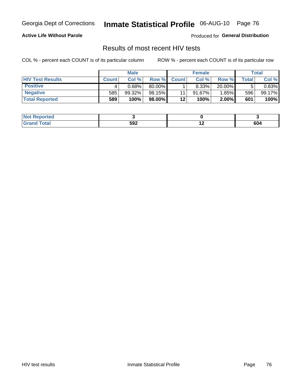Georgia Dept of Corrections

# Inmate Statistical Profile 06-AUG-10 Page 76

#### **Active Life Without Parole**

Produced for General Distribution

### Results of most recent HIV tests

COL % - percent each COUNT is of its particular column

|                         |              | <b>Male</b> |        |              | <b>Female</b> |          |         | Total  |
|-------------------------|--------------|-------------|--------|--------------|---------------|----------|---------|--------|
| <b>HIV Test Results</b> | <b>Count</b> | Col%        | Row %I | <b>Count</b> | Col %         | Row %    | ⊤otal ⊦ | Col %  |
| <b>Positive</b>         |              | 0.68%       | 80.00% |              | 8.33%         | 20.00%   |         | 0.83%  |
| <b>Negative</b>         | 585          | 99.32%      | 98.15% | 11           | $91.67\%$     | 1.85%    | 596     | 99.17% |
| <b>Total Reported</b>   | 589          | 100%        | 98.00% | 12           | 100%          | $2.00\%$ | 601     | 100%   |

| <b>Not Reported</b> |     |     |     |
|---------------------|-----|-----|-----|
| <b>Total</b>        | 592 | . . | 604 |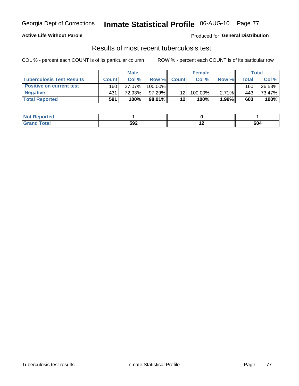#### **Active Life Without Parole**

Produced for General Distribution

### Results of most recent tuberculosis test

COL % - percent each COUNT is of its particular column

|                                  |              | <b>Male</b> |            |                 | <b>Female</b> |          |       | Total  |
|----------------------------------|--------------|-------------|------------|-----------------|---------------|----------|-------|--------|
| <b>Tuberculosis Test Results</b> | <b>Count</b> | Col%        | Row %I     | <b>Count</b>    | Col%          | Row %    | Total | Col %  |
| <b>Positive on current test</b>  | 160          | 27.07%      | $100.00\%$ |                 |               |          | 160   | 26.53% |
| <b>Negative</b>                  | 431          | 72.93%      | $97.29\%$  | 12 <sub>1</sub> | 100.00%       | $2.71\%$ | 443   | 73.47% |
| <b>Total Reported</b>            | 591          | 100%        | 98.01%     | 12              | 100%          | 1.99%    | 603   | 100%   |

| <b>Not Reported</b> |     |     |     |
|---------------------|-----|-----|-----|
| <b>Total</b>        | 592 | . . | 604 |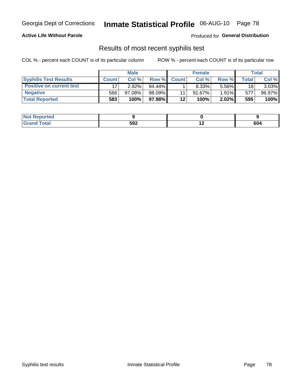#### **Active Life Without Parole**

Produced for General Distribution

### Results of most recent syphilis test

COL % - percent each COUNT is of its particular column

|                                 |              | <b>Male</b> |           |              | <b>Female</b> |          |       | Total  |
|---------------------------------|--------------|-------------|-----------|--------------|---------------|----------|-------|--------|
| <b>Syphilis Test Results</b>    | <b>Count</b> | Col %       | Row %     | <b>Count</b> | Col %         | Row %I   | Total | Col %  |
| <b>Positive on current test</b> |              | $2.92\%$    | $94.44\%$ |              | $8.33\%$      | 5.56%    | 18    | 3.03%  |
| <b>Negative</b>                 | 566          | 97.08%      | 98.09%    |              | $91.67\%$     | $1.91\%$ | 577   | 96.97% |
| <b>Total Reported</b>           | 583          | 100%        | 97.98%    | 12           | 100%          | $2.02\%$ | 595   | 100%   |

| <b>Not Reported</b> |     |     |     |
|---------------------|-----|-----|-----|
| <b>Grand Total</b>  | 592 | . . | 604 |